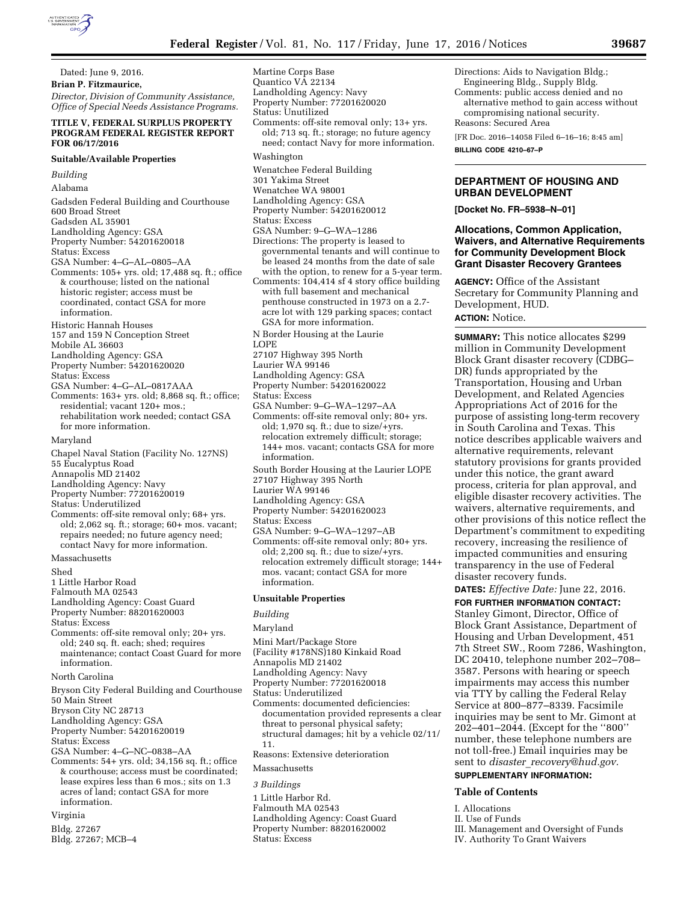Dated: June 9, 2016. **Brian P. Fitzmaurice,**  *Director, Division of Community Assistance, Office of Special Needs Assistance Programs.* 

## **TITLE V, FEDERAL SURPLUS PROPERTY PROGRAM FEDERAL REGISTER REPORT FOR 06/17/2016**

### **Suitable/Available Properties**

*Building* 

Alabama

- Gadsden Federal Building and Courthouse 600 Broad Street Gadsden AL 35901 Landholding Agency: GSA Property Number: 54201620018 Status: Excess GSA Number: 4–G–AL–0805–AA Comments: 105+ yrs. old; 17,488 sq. ft.; office & courthouse; listed on the national historic register; access must be coordinated, contact GSA for more information.
- Historic Hannah Houses
- 157 and 159 N Conception Street
- Mobile AL 36603
- Landholding Agency: GSA
- Property Number: 54201620020
- Status: Excess
- GSA Number: 4–G–AL–0817AAA
- Comments: 163+ yrs. old; 8,868 sq. ft.; office; residential; vacant 120+ mos.; rehabilitation work needed; contact GSA for more information.
- Maryland
- Chapel Naval Station (Facility No. 127NS)
- 55 Eucalyptus Road
- Annapolis MD 21402
- Landholding Agency: Navy Property Number: 77201620019
- Status: Underutilized
- Comments: off-site removal only; 68+ yrs. old; 2,062 sq. ft.; storage; 60+ mos. vacant; repairs needed; no future agency need; contact Navy for more information.

#### Massachusetts

- Shed
- 1 Little Harbor Road
- Falmouth MA 02543
- Landholding Agency: Coast Guard
- Property Number: 88201620003
- Status: Excess
- Comments: off-site removal only; 20+ yrs. old; 240 sq. ft. each; shed; requires maintenance; contact Coast Guard for more information.
- North Carolina

Bryson City Federal Building and Courthouse 50 Main Street Bryson City NC 28713

- Landholding Agency: GSA
- Property Number: 54201620019
- Status: Excess
- 
- GSA Number: 4–G–NC–0838–AA
- Comments: 54+ yrs. old; 34,156 sq. ft.; office & courthouse; access must be coordinated; lease expires less than 6 mos.; sits on 1.3 acres of land; contact GSA for more information.
- Virginia
- Bldg. 27267
- Bldg. 27267; MCB–4

Landholding Agency: Navy Property Number: 77201620020 Status: Unutilized Comments: off-site removal only; 13+ yrs. old; 713 sq. ft.; storage; no future agency need; contact Navy for more information. Washington Wenatchee Federal Building 301 Yakima Street Wenatchee WA 98001

- Landholding Agency: GSA
- Property Number: 54201620012
- Status: Excess

Martine Corps Base Quantico VA 22134

- GSA Number: 9–G–WA–1286
- Directions: The property is leased to governmental tenants and will continue to be leased 24 months from the date of sale with the option, to renew for a 5-year term.
- Comments: 104,414 sf 4 story office building with full basement and mechanical penthouse constructed in 1973 on a 2.7 acre lot with 129 parking spaces; contact GSA for more information.
- N Border Housing at the Laurie
- LOPE
- 27107 Highway 395 North
- Laurier WA 99146
- Landholding Agency: GSA
- Property Number: 54201620022
- Status: Excess
- GSA Number: 9–G–WA–1297–AA
- Comments: off-site removal only; 80+ yrs. old; 1,970 sq. ft.; due to size/+yrs. relocation extremely difficult; storage; 144+ mos. vacant; contacts GSA for more information.
- South Border Housing at the Laurier LOPE
- 27107 Highway 395 North
- Laurier WA 99146
- Landholding Agency: GSA
- Property Number: 54201620023
- Status: Excess
- GSA Number: 9–G–WA–1297–AB
- Comments: off-site removal only; 80+ yrs. old; 2,200 sq. ft.; due to size/+yrs. relocation extremely difficult storage; 144+ mos. vacant; contact GSA for more information.

## **Unsuitable Properties**

#### *Building*

#### Maryland

- Mini Mart/Package Store
- (Facility #178NS)180 Kinkaid Road
- Annapolis MD 21402
- Landholding Agency: Navy
- Property Number: 77201620018
- Status: Underutilized
- Comments: documented deficiencies: documentation provided represents a clear threat to personal physical safety; structural damages; hit by a vehicle 02/11/ 11.
- 
- Reasons: Extensive deterioration
- Massachusetts

# *3 Buildings*

1 Little Harbor Rd. Falmouth MA 02543 Landholding Agency: Coast Guard Property Number: 88201620002 Status: Excess

Directions: Aids to Navigation Bldg.; Engineering Bldg., Supply Bldg.

Comments: public access denied and no alternative method to gain access without compromising national security.

Reasons: Secured Area [FR Doc. 2016–14058 Filed 6–16–16; 8:45 am]

**BILLING CODE 4210–67–P** 

# **DEPARTMENT OF HOUSING AND URBAN DEVELOPMENT**

**[Docket No. FR–5938–N–01]** 

# **Allocations, Common Application, Waivers, and Alternative Requirements for Community Development Block Grant Disaster Recovery Grantees**

**AGENCY:** Office of the Assistant Secretary for Community Planning and Development, HUD.

# **ACTION:** Notice.

**SUMMARY:** This notice allocates \$299 million in Community Development Block Grant disaster recovery (CDBG– DR) funds appropriated by the Transportation, Housing and Urban Development, and Related Agencies Appropriations Act of 2016 for the purpose of assisting long-term recovery in South Carolina and Texas. This notice describes applicable waivers and alternative requirements, relevant statutory provisions for grants provided under this notice, the grant award process, criteria for plan approval, and eligible disaster recovery activities. The waivers, alternative requirements, and other provisions of this notice reflect the Department's commitment to expediting recovery, increasing the resilience of impacted communities and ensuring transparency in the use of Federal disaster recovery funds.

**DATES:** *Effective Date:* June 22, 2016.

**FOR FURTHER INFORMATION CONTACT:**  Stanley Gimont, Director, Office of Block Grant Assistance, Department of Housing and Urban Development, 451 7th Street SW., Room 7286, Washington, DC 20410, telephone number 202–708– 3587. Persons with hearing or speech impairments may access this number via TTY by calling the Federal Relay Service at 800–877–8339. Facsimile inquiries may be sent to Mr. Gimont at 202–401–2044. (Except for the ''800'' number, these telephone numbers are not toll-free.) Email inquiries may be sent to *disaster*\_*[recovery@hud.gov.](mailto:disaster_recovery@hud.gov)* 

# **SUPPLEMENTARY INFORMATION:**

### **Table of Contents**

- I. Allocations
- II. Use of Funds
- III. Management and Oversight of Funds IV. Authority To Grant Waivers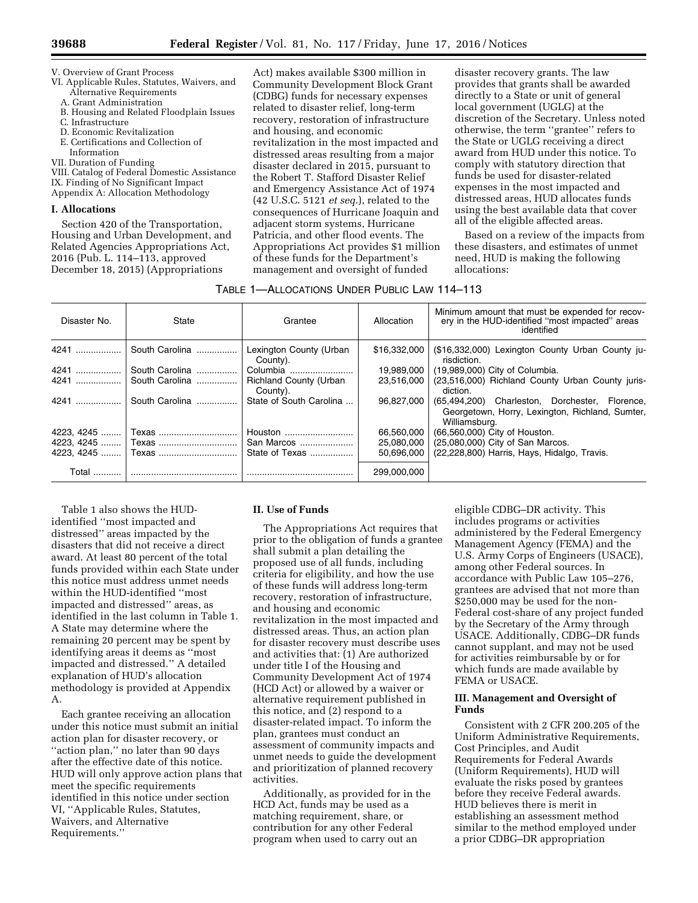V. Overview of Grant Process

- VI. Applicable Rules, Statutes, Waivers, and Alternative Requirements
- A. Grant Administration
- B. Housing and Related Floodplain Issues
- C. Infrastructure
- D. Economic Revitalization
- E. Certifications and Collection of
- Information
- VII. Duration of Funding

VIII. Catalog of Federal Domestic Assistance IX. Finding of No Significant Impact

Appendix A: Allocation Methodology

### **I. Allocations**

Section 420 of the Transportation, Housing and Urban Development, and Related Agencies Appropriations Act, 2016 (Pub. L. 114–113, approved December 18, 2015) (Appropriations

Act) makes available \$300 million in Community Development Block Grant (CDBG) funds for necessary expenses related to disaster relief, long-term recovery, restoration of infrastructure and housing, and economic revitalization in the most impacted and distressed areas resulting from a major disaster declared in 2015, pursuant to the Robert T. Stafford Disaster Relief and Emergency Assistance Act of 1974 (42 U.S.C. 5121 *et seq.*), related to the consequences of Hurricane Joaquin and adjacent storm systems, Hurricane Patricia, and other flood events. The Appropriations Act provides \$1 million of these funds for the Department's management and oversight of funded

disaster recovery grants. The law provides that grants shall be awarded directly to a State or unit of general local government (UGLG) at the discretion of the Secretary. Unless noted otherwise, the term ''grantee'' refers to the State or UGLG receiving a direct award from HUD under this notice. To comply with statutory direction that funds be used for disaster-related expenses in the most impacted and distressed areas, HUD allocates funds using the best available data that cover all of the eligible affected areas.

Based on a review of the impacts from these disasters, and estimates of unmet need, HUD is making the following allocations:

# TABLE 1—ALLOCATIONS UNDER PUBLIC LAW 114–113

| Disaster No. | State                | Grantee                                   | Allocation   | Minimum amount that must be expended for recov-<br>ery in the HUD-identified "most impacted" areas<br>identified   |
|--------------|----------------------|-------------------------------------------|--------------|--------------------------------------------------------------------------------------------------------------------|
| 4241         | South Carolina       | Lexington County (Urban<br>County).       | \$16,332,000 | (\$16,332,000) Lexington County Urban County ju-<br>risdiction.                                                    |
| 4241         | South Carolina       | Columbia                                  | 19.989.000   | (19,989,000) City of Columbia.                                                                                     |
|              | 4241  South Carolina | <b>Richland County (Urban</b><br>County). | 23,516,000   | (23,516,000) Richland County Urban County juris-<br>diction.                                                       |
| 4241         | South Carolina       | State of South Carolina                   | 96.827.000   | (65,494,200) Charleston, Dorchester, Florence,<br>Georgetown, Horry, Lexington, Richland, Sumter,<br>Williamsburg. |
|              |                      | Houston                                   | 66.560.000   | (66,560,000) City of Houston.                                                                                      |
|              |                      | San Marcos                                | 25,080,000   | (25,080,000) City of San Marcos.                                                                                   |
|              |                      | State of Texas                            | 50,696,000   | (22,228,800) Harris, Hays, Hidalgo, Travis.                                                                        |
|              |                      |                                           | 299.000.000  |                                                                                                                    |

Table 1 also shows the HUDidentified ''most impacted and distressed'' areas impacted by the disasters that did not receive a direct award. At least 80 percent of the total funds provided within each State under this notice must address unmet needs within the HUD-identified ''most impacted and distressed'' areas, as identified in the last column in Table 1. A State may determine where the remaining 20 percent may be spent by identifying areas it deems as ''most impacted and distressed.'' A detailed explanation of HUD's allocation methodology is provided at Appendix A.

Each grantee receiving an allocation under this notice must submit an initial action plan for disaster recovery, or ''action plan,'' no later than 90 days after the effective date of this notice. HUD will only approve action plans that meet the specific requirements identified in this notice under section VI, ''Applicable Rules, Statutes, Waivers, and Alternative Requirements.''

# **II. Use of Funds**

The Appropriations Act requires that prior to the obligation of funds a grantee shall submit a plan detailing the proposed use of all funds, including criteria for eligibility, and how the use of these funds will address long-term recovery, restoration of infrastructure, and housing and economic revitalization in the most impacted and distressed areas. Thus, an action plan for disaster recovery must describe uses and activities that: (1) Are authorized under title I of the Housing and Community Development Act of 1974 (HCD Act) or allowed by a waiver or alternative requirement published in this notice, and (2) respond to a disaster-related impact. To inform the plan, grantees must conduct an assessment of community impacts and unmet needs to guide the development and prioritization of planned recovery activities.

Additionally, as provided for in the HCD Act, funds may be used as a matching requirement, share, or contribution for any other Federal program when used to carry out an

eligible CDBG–DR activity. This includes programs or activities administered by the Federal Emergency Management Agency (FEMA) and the U.S. Army Corps of Engineers (USACE), among other Federal sources. In accordance with Public Law 105–276, grantees are advised that not more than \$250,000 may be used for the non-Federal cost-share of any project funded by the Secretary of the Army through USACE. Additionally, CDBG–DR funds cannot supplant, and may not be used for activities reimbursable by or for which funds are made available by FEMA or USACE.

## **III. Management and Oversight of Funds**

Consistent with 2 CFR 200.205 of the Uniform Administrative Requirements, Cost Principles, and Audit Requirements for Federal Awards (Uniform Requirements), HUD will evaluate the risks posed by grantees before they receive Federal awards. HUD believes there is merit in establishing an assessment method similar to the method employed under a prior CDBG–DR appropriation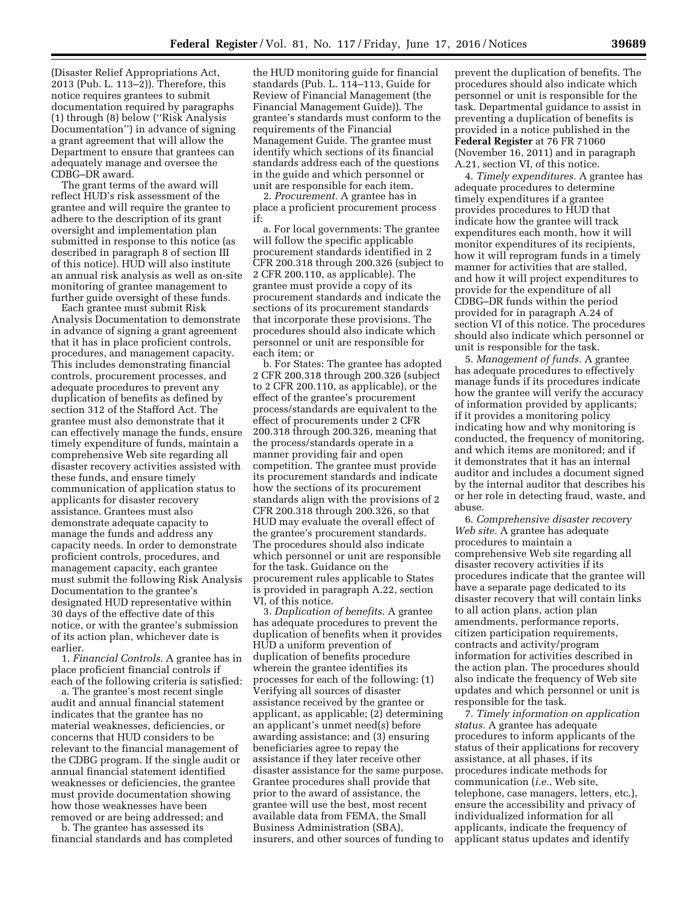(Disaster Relief Appropriations Act, 2013 (Pub. L. 113–2)). Therefore, this notice requires grantees to submit documentation required by paragraphs (1) through (8) below (''Risk Analysis Documentation'') in advance of signing a grant agreement that will allow the Department to ensure that grantees can adequately manage and oversee the CDBG–DR award.

The grant terms of the award will reflect HUD's risk assessment of the grantee and will require the grantee to adhere to the description of its grant oversight and implementation plan submitted in response to this notice (as described in paragraph 8 of section III of this notice). HUD will also institute an annual risk analysis as well as on-site monitoring of grantee management to further guide oversight of these funds.

Each grantee must submit Risk Analysis Documentation to demonstrate in advance of signing a grant agreement that it has in place proficient controls, procedures, and management capacity. This includes demonstrating financial controls, procurement processes, and adequate procedures to prevent any duplication of benefits as defined by section 312 of the Stafford Act. The grantee must also demonstrate that it can effectively manage the funds, ensure timely expenditure of funds, maintain a comprehensive Web site regarding all disaster recovery activities assisted with these funds, and ensure timely communication of application status to applicants for disaster recovery assistance. Grantees must also demonstrate adequate capacity to manage the funds and address any capacity needs. In order to demonstrate proficient controls, procedures, and management capacity, each grantee must submit the following Risk Analysis Documentation to the grantee's designated HUD representative within 30 days of the effective date of this notice, or with the grantee's submission of its action plan, whichever date is earlier.

1. *Financial Controls.* A grantee has in place proficient financial controls if each of the following criteria is satisfied:

a. The grantee's most recent single audit and annual financial statement indicates that the grantee has no material weaknesses, deficiencies, or concerns that HUD considers to be relevant to the financial management of the CDBG program. If the single audit or annual financial statement identified weaknesses or deficiencies, the grantee must provide documentation showing how those weaknesses have been removed or are being addressed; and

b. The grantee has assessed its financial standards and has completed

the HUD monitoring guide for financial standards (Pub. L. 114–113, Guide for Review of Financial Management (the Financial Management Guide)). The grantee's standards must conform to the requirements of the Financial Management Guide. The grantee must identify which sections of its financial standards address each of the questions in the guide and which personnel or unit are responsible for each item.

2. *Procurement.* A grantee has in place a proficient procurement process if:

a. For local governments: The grantee will follow the specific applicable procurement standards identified in 2 CFR 200.318 through 200.326 (subject to 2 CFR 200.110, as applicable). The grantee must provide a copy of its procurement standards and indicate the sections of its procurement standards that incorporate these provisions. The procedures should also indicate which personnel or unit are responsible for each item; or

b. For States: The grantee has adopted 2 CFR 200.318 through 200.326 (subject to 2 CFR 200.110, as applicable), or the effect of the grantee's procurement process/standards are equivalent to the effect of procurements under 2 CFR 200.318 through 200.326, meaning that the process/standards operate in a manner providing fair and open competition. The grantee must provide its procurement standards and indicate how the sections of its procurement standards align with the provisions of 2 CFR 200.318 through 200.326, so that HUD may evaluate the overall effect of the grantee's procurement standards. The procedures should also indicate which personnel or unit are responsible for the task. Guidance on the procurement rules applicable to States is provided in paragraph A.22, section VI, of this notice.

3. *Duplication of benefits.* A grantee has adequate procedures to prevent the duplication of benefits when it provides HUD a uniform prevention of duplication of benefits procedure wherein the grantee identifies its processes for each of the following: (1) Verifying all sources of disaster assistance received by the grantee or applicant, as applicable; (2) determining an applicant's unmet need(s) before awarding assistance; and (3) ensuring beneficiaries agree to repay the assistance if they later receive other disaster assistance for the same purpose. Grantee procedures shall provide that prior to the award of assistance, the grantee will use the best, most recent available data from FEMA, the Small Business Administration (SBA), insurers, and other sources of funding to

prevent the duplication of benefits. The procedures should also indicate which personnel or unit is responsible for the task. Departmental guidance to assist in preventing a duplication of benefits is provided in a notice published in the **Federal Register** at 76 FR 71060 (November 16, 2011) and in paragraph A.21, section VI, of this notice.

4. *Timely expenditures.* A grantee has adequate procedures to determine timely expenditures if a grantee provides procedures to HUD that indicate how the grantee will track expenditures each month, how it will monitor expenditures of its recipients, how it will reprogram funds in a timely manner for activities that are stalled, and how it will project expenditures to provide for the expenditure of all CDBG–DR funds within the period provided for in paragraph A.24 of section VI of this notice. The procedures should also indicate which personnel or unit is responsible for the task.

5. *Management of funds.* A grantee has adequate procedures to effectively manage funds if its procedures indicate how the grantee will verify the accuracy of information provided by applicants; if it provides a monitoring policy indicating how and why monitoring is conducted, the frequency of monitoring, and which items are monitored; and if it demonstrates that it has an internal auditor and includes a document signed by the internal auditor that describes his or her role in detecting fraud, waste, and abuse.

6. *Comprehensive disaster recovery Web site.* A grantee has adequate procedures to maintain a comprehensive Web site regarding all disaster recovery activities if its procedures indicate that the grantee will have a separate page dedicated to its disaster recovery that will contain links to all action plans, action plan amendments, performance reports, citizen participation requirements, contracts and activity/program information for activities described in the action plan. The procedures should also indicate the frequency of Web site updates and which personnel or unit is responsible for the task.

7. *Timely information on application status.* A grantee has adequate procedures to inform applicants of the status of their applications for recovery assistance, at all phases, if its procedures indicate methods for communication (*i.e.*, Web site, telephone, case managers, letters, etc.), ensure the accessibility and privacy of individualized information for all applicants, indicate the frequency of applicant status updates and identify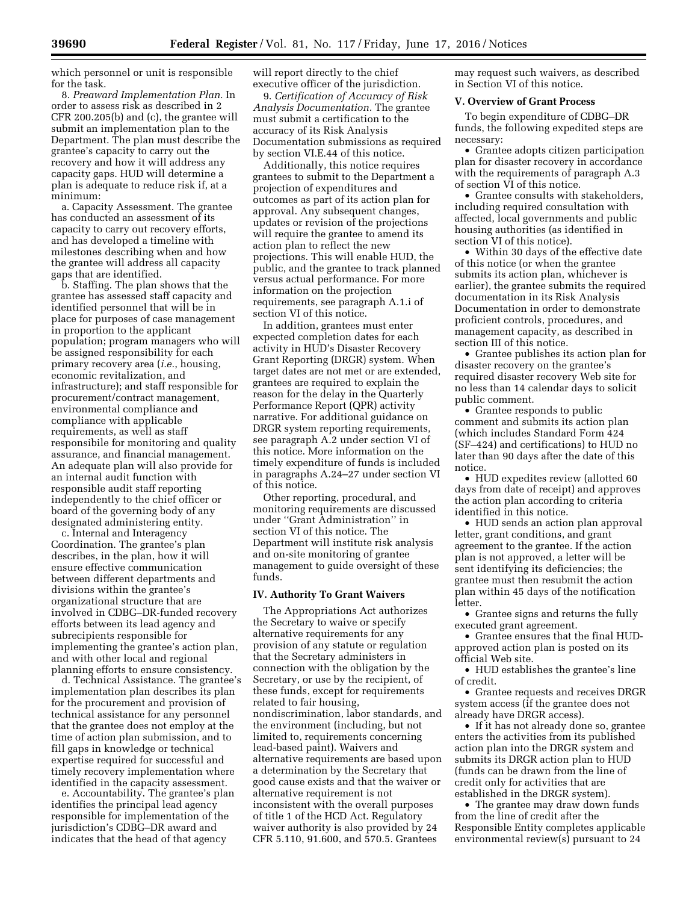which personnel or unit is responsible for the task.

8. *Preaward Implementation Plan.* In order to assess risk as described in 2 CFR 200.205(b) and (c), the grantee will submit an implementation plan to the Department. The plan must describe the grantee's capacity to carry out the recovery and how it will address any capacity gaps. HUD will determine a plan is adequate to reduce risk if, at a minimum:

a. Capacity Assessment. The grantee has conducted an assessment of its capacity to carry out recovery efforts, and has developed a timeline with milestones describing when and how the grantee will address all capacity gaps that are identified.

b. Staffing. The plan shows that the grantee has assessed staff capacity and identified personnel that will be in place for purposes of case management in proportion to the applicant population; program managers who will be assigned responsibility for each primary recovery area (*i.e.*, housing, economic revitalization, and infrastructure); and staff responsible for procurement/contract management, environmental compliance and compliance with applicable requirements, as well as staff responsibile for monitoring and quality assurance, and financial management. An adequate plan will also provide for an internal audit function with responsible audit staff reporting independently to the chief officer or board of the governing body of any designated administering entity.

c. Internal and Interagency Coordination. The grantee's plan describes, in the plan, how it will ensure effective communication between different departments and divisions within the grantee's organizational structure that are involved in CDBG–DR-funded recovery efforts between its lead agency and subrecipients responsible for implementing the grantee's action plan, and with other local and regional planning efforts to ensure consistency.

d. Technical Assistance. The grantee's implementation plan describes its plan for the procurement and provision of technical assistance for any personnel that the grantee does not employ at the time of action plan submission, and to fill gaps in knowledge or technical expertise required for successful and timely recovery implementation where identified in the capacity assessment.

e. Accountability. The grantee's plan identifies the principal lead agency responsible for implementation of the jurisdiction's CDBG–DR award and indicates that the head of that agency

will report directly to the chief executive officer of the jurisdiction.

9. *Certification of Accuracy of Risk Analysis Documentation.* The grantee must submit a certification to the accuracy of its Risk Analysis Documentation submissions as required by section VI.E.44 of this notice.

Additionally, this notice requires grantees to submit to the Department a projection of expenditures and outcomes as part of its action plan for approval. Any subsequent changes, updates or revision of the projections will require the grantee to amend its action plan to reflect the new projections. This will enable HUD, the public, and the grantee to track planned versus actual performance. For more information on the projection requirements, see paragraph A.1.i of section VI of this notice.

In addition, grantees must enter expected completion dates for each activity in HUD's Disaster Recovery Grant Reporting (DRGR) system. When target dates are not met or are extended, grantees are required to explain the reason for the delay in the Quarterly Performance Report (QPR) activity narrative. For additional guidance on DRGR system reporting requirements, see paragraph A.2 under section VI of this notice. More information on the timely expenditure of funds is included in paragraphs A.24–27 under section VI of this notice.

Other reporting, procedural, and monitoring requirements are discussed under ''Grant Administration'' in section VI of this notice. The Department will institute risk analysis and on-site monitoring of grantee management to guide oversight of these funds.

# **IV. Authority To Grant Waivers**

The Appropriations Act authorizes the Secretary to waive or specify alternative requirements for any provision of any statute or regulation that the Secretary administers in connection with the obligation by the Secretary, or use by the recipient, of these funds, except for requirements related to fair housing, nondiscrimination, labor standards, and the environment (including, but not limited to, requirements concerning lead-based paint). Waivers and alternative requirements are based upon a determination by the Secretary that good cause exists and that the waiver or alternative requirement is not inconsistent with the overall purposes of title 1 of the HCD Act. Regulatory waiver authority is also provided by 24 CFR 5.110, 91.600, and 570.5. Grantees

may request such waivers, as described in Section VI of this notice.

### **V. Overview of Grant Process**

To begin expenditure of CDBG–DR funds, the following expedited steps are necessary:

• Grantee adopts citizen participation plan for disaster recovery in accordance with the requirements of paragraph A.3 of section VI of this notice.

• Grantee consults with stakeholders, including required consultation with affected, local governments and public housing authorities (as identified in section VI of this notice).

• Within 30 days of the effective date of this notice (or when the grantee submits its action plan, whichever is earlier), the grantee submits the required documentation in its Risk Analysis Documentation in order to demonstrate proficient controls, procedures, and management capacity, as described in section III of this notice.

• Grantee publishes its action plan for disaster recovery on the grantee's required disaster recovery Web site for no less than 14 calendar days to solicit public comment.

• Grantee responds to public comment and submits its action plan (which includes Standard Form 424 (SF–424) and certifications) to HUD no later than 90 days after the date of this notice.

• HUD expedites review (allotted 60 days from date of receipt) and approves the action plan according to criteria identified in this notice.

• HUD sends an action plan approval letter, grant conditions, and grant agreement to the grantee. If the action plan is not approved, a letter will be sent identifying its deficiencies; the grantee must then resubmit the action plan within 45 days of the notification letter.

• Grantee signs and returns the fully executed grant agreement.

• Grantee ensures that the final HUDapproved action plan is posted on its official Web site.

• HUD establishes the grantee's line of credit.

• Grantee requests and receives DRGR system access (if the grantee does not already have DRGR access).

• If it has not already done so, grantee enters the activities from its published action plan into the DRGR system and submits its DRGR action plan to HUD (funds can be drawn from the line of credit only for activities that are established in the DRGR system).

• The grantee may draw down funds from the line of credit after the Responsible Entity completes applicable environmental review(s) pursuant to 24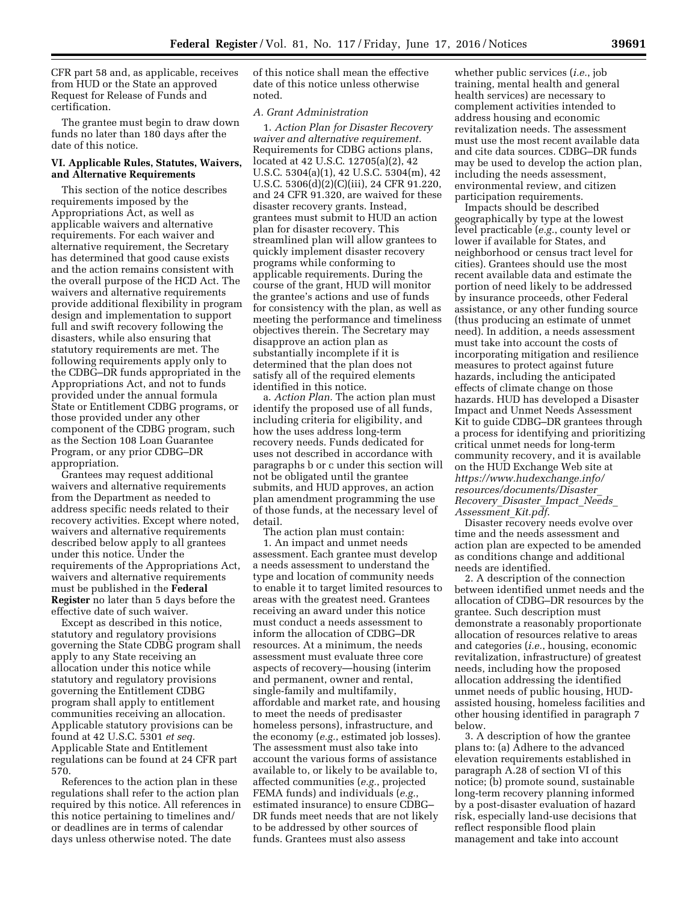CFR part 58 and, as applicable, receives from HUD or the State an approved Request for Release of Funds and certification.

The grantee must begin to draw down funds no later than 180 days after the date of this notice.

# **VI. Applicable Rules, Statutes, Waivers, and Alternative Requirements**

This section of the notice describes requirements imposed by the Appropriations Act, as well as applicable waivers and alternative requirements. For each waiver and alternative requirement, the Secretary has determined that good cause exists and the action remains consistent with the overall purpose of the HCD Act. The waivers and alternative requirements provide additional flexibility in program design and implementation to support full and swift recovery following the disasters, while also ensuring that statutory requirements are met. The following requirements apply only to the CDBG–DR funds appropriated in the Appropriations Act, and not to funds provided under the annual formula State or Entitlement CDBG programs, or those provided under any other component of the CDBG program, such as the Section 108 Loan Guarantee Program, or any prior CDBG–DR appropriation.

Grantees may request additional waivers and alternative requirements from the Department as needed to address specific needs related to their recovery activities. Except where noted, waivers and alternative requirements described below apply to all grantees under this notice. Under the requirements of the Appropriations Act, waivers and alternative requirements must be published in the **Federal Register** no later than 5 days before the effective date of such waiver.

Except as described in this notice, statutory and regulatory provisions governing the State CDBG program shall apply to any State receiving an allocation under this notice while statutory and regulatory provisions governing the Entitlement CDBG program shall apply to entitlement communities receiving an allocation. Applicable statutory provisions can be found at 42 U.S.C. 5301 *et seq.*  Applicable State and Entitlement regulations can be found at 24 CFR part 570.

References to the action plan in these regulations shall refer to the action plan required by this notice. All references in this notice pertaining to timelines and/ or deadlines are in terms of calendar days unless otherwise noted. The date

of this notice shall mean the effective date of this notice unless otherwise noted.

# *A. Grant Administration*

1. *Action Plan for Disaster Recovery waiver and alternative requirement.*  Requirements for CDBG actions plans, located at 42 U.S.C. 12705(a)(2), 42 U.S.C. 5304(a)(1), 42 U.S.C. 5304(m), 42 U.S.C. 5306(d)(2)(C)(iii), 24 CFR 91.220, and 24 CFR 91.320, are waived for these disaster recovery grants. Instead, grantees must submit to HUD an action plan for disaster recovery. This streamlined plan will allow grantees to quickly implement disaster recovery programs while conforming to applicable requirements. During the course of the grant, HUD will monitor the grantee's actions and use of funds for consistency with the plan, as well as meeting the performance and timeliness objectives therein. The Secretary may disapprove an action plan as substantially incomplete if it is determined that the plan does not satisfy all of the required elements identified in this notice.

a. *Action Plan.* The action plan must identify the proposed use of all funds, including criteria for eligibility, and how the uses address long-term recovery needs. Funds dedicated for uses not described in accordance with paragraphs b or c under this section will not be obligated until the grantee submits, and HUD approves, an action plan amendment programming the use of those funds, at the necessary level of detail.

The action plan must contain:

1. An impact and unmet needs assessment. Each grantee must develop a needs assessment to understand the type and location of community needs to enable it to target limited resources to areas with the greatest need. Grantees receiving an award under this notice must conduct a needs assessment to inform the allocation of CDBG–DR resources. At a minimum, the needs assessment must evaluate three core aspects of recovery—housing (interim and permanent, owner and rental, single-family and multifamily, affordable and market rate, and housing to meet the needs of predisaster homeless persons), infrastructure, and the economy (*e.g.*, estimated job losses). The assessment must also take into account the various forms of assistance available to, or likely to be available to, affected communities (*e.g.*, projected FEMA funds) and individuals (*e.g.*, estimated insurance) to ensure CDBG– DR funds meet needs that are not likely to be addressed by other sources of funds. Grantees must also assess

whether public services (*i.e.*, job training, mental health and general health services) are necessary to complement activities intended to address housing and economic revitalization needs. The assessment must use the most recent available data and cite data sources. CDBG–DR funds may be used to develop the action plan, including the needs assessment, environmental review, and citizen participation requirements.

Impacts should be described geographically by type at the lowest level practicable (*e.g.*, county level or lower if available for States, and neighborhood or census tract level for cities). Grantees should use the most recent available data and estimate the portion of need likely to be addressed by insurance proceeds, other Federal assistance, or any other funding source (thus producing an estimate of unmet need). In addition, a needs assessment must take into account the costs of incorporating mitigation and resilience measures to protect against future hazards, including the anticipated effects of climate change on those hazards. HUD has developed a Disaster Impact and Unmet Needs Assessment Kit to guide CDBG–DR grantees through a process for identifying and prioritizing critical unmet needs for long-term community recovery, and it is available on the HUD Exchange Web site at *[https://www.hudexchange.info/](https://www.hudexchange.info/resources/documents/Disaster_Recovery_Disaster_Impact_Needs_Assessment_Kit.pdf) [resources/documents/Disaster](https://www.hudexchange.info/resources/documents/Disaster_Recovery_Disaster_Impact_Needs_Assessment_Kit.pdf)*\_ *[Recovery](https://www.hudexchange.info/resources/documents/Disaster_Recovery_Disaster_Impact_Needs_Assessment_Kit.pdf)*\_*Disaster*\_*Impact*\_*Needs*\_ *[Assessment](https://www.hudexchange.info/resources/documents/Disaster_Recovery_Disaster_Impact_Needs_Assessment_Kit.pdf)*\_*Kit.pdf*.

Disaster recovery needs evolve over time and the needs assessment and action plan are expected to be amended as conditions change and additional needs are identified.

2. A description of the connection between identified unmet needs and the allocation of CDBG–DR resources by the grantee. Such description must demonstrate a reasonably proportionate allocation of resources relative to areas and categories (*i.e.*, housing, economic revitalization, infrastructure) of greatest needs, including how the proposed allocation addressing the identified unmet needs of public housing, HUDassisted housing, homeless facilities and other housing identified in paragraph 7 below.

3. A description of how the grantee plans to: (a) Adhere to the advanced elevation requirements established in paragraph A.28 of section VI of this notice; (b) promote sound, sustainable long-term recovery planning informed by a post-disaster evaluation of hazard risk, especially land-use decisions that reflect responsible flood plain management and take into account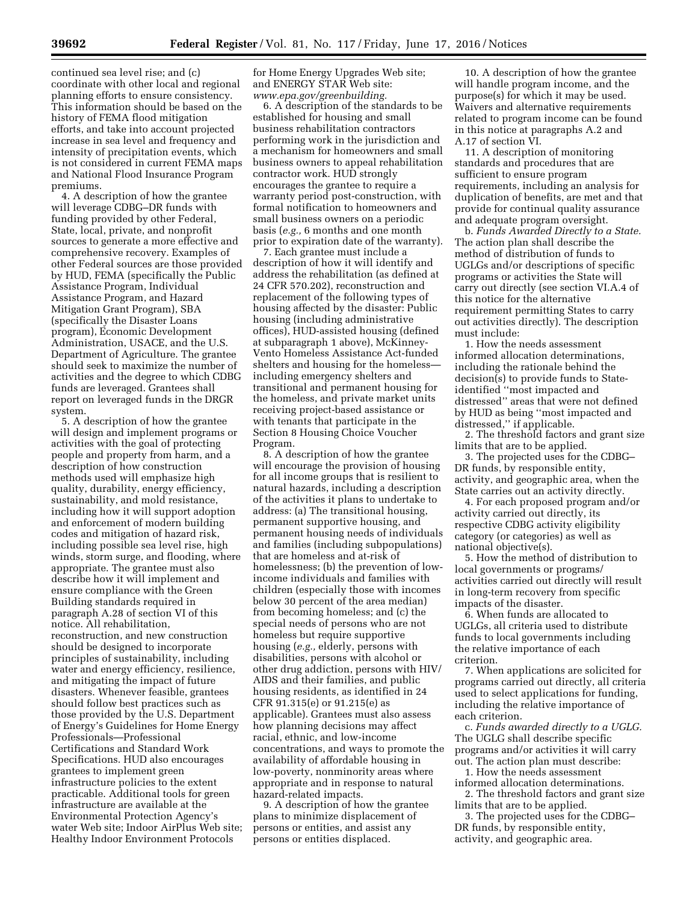continued sea level rise; and (c) coordinate with other local and regional planning efforts to ensure consistency. This information should be based on the history of FEMA flood mitigation efforts, and take into account projected increase in sea level and frequency and intensity of precipitation events, which is not considered in current FEMA maps and National Flood Insurance Program premiums.

4. A description of how the grantee will leverage CDBG–DR funds with funding provided by other Federal, State, local, private, and nonprofit sources to generate a more effective and comprehensive recovery. Examples of other Federal sources are those provided by HUD, FEMA (specifically the Public Assistance Program, Individual Assistance Program, and Hazard Mitigation Grant Program), SBA (specifically the Disaster Loans program), Economic Development Administration, USACE, and the U.S. Department of Agriculture. The grantee should seek to maximize the number of activities and the degree to which CDBG funds are leveraged. Grantees shall report on leveraged funds in the DRGR system.

5. A description of how the grantee will design and implement programs or activities with the goal of protecting people and property from harm, and a description of how construction methods used will emphasize high quality, durability, energy efficiency, sustainability, and mold resistance, including how it will support adoption and enforcement of modern building codes and mitigation of hazard risk, including possible sea level rise, high winds, storm surge, and flooding, where appropriate. The grantee must also describe how it will implement and ensure compliance with the Green Building standards required in paragraph A.28 of section VI of this notice. All rehabilitation, reconstruction, and new construction should be designed to incorporate principles of sustainability, including water and energy efficiency, resilience, and mitigating the impact of future disasters. Whenever feasible, grantees should follow best practices such as those provided by the U.S. Department of Energy's Guidelines for Home Energy Professionals—Professional Certifications and Standard Work Specifications. HUD also encourages grantees to implement green infrastructure policies to the extent practicable. Additional tools for green infrastructure are available at the Environmental Protection Agency's water Web site; Indoor AirPlus Web site; Healthy Indoor Environment Protocols

for Home Energy Upgrades Web site; and ENERGY STAR Web site: *[www.epa.gov/greenbuilding.](http://www.epa.gov/greenbuilding)* 

6. A description of the standards to be established for housing and small business rehabilitation contractors performing work in the jurisdiction and a mechanism for homeowners and small business owners to appeal rehabilitation contractor work. HUD strongly encourages the grantee to require a warranty period post-construction, with formal notification to homeowners and small business owners on a periodic basis (*e.g.,* 6 months and one month prior to expiration date of the warranty).

7. Each grantee must include a description of how it will identify and address the rehabilitation (as defined at 24 CFR 570.202), reconstruction and replacement of the following types of housing affected by the disaster: Public housing (including administrative offices), HUD-assisted housing (defined at subparagraph 1 above), McKinney-Vento Homeless Assistance Act-funded shelters and housing for the homeless including emergency shelters and transitional and permanent housing for the homeless, and private market units receiving project-based assistance or with tenants that participate in the Section 8 Housing Choice Voucher Program.

8. A description of how the grantee will encourage the provision of housing for all income groups that is resilient to natural hazards, including a description of the activities it plans to undertake to address: (a) The transitional housing, permanent supportive housing, and permanent housing needs of individuals and families (including subpopulations) that are homeless and at-risk of homelessness; (b) the prevention of lowincome individuals and families with children (especially those with incomes below 30 percent of the area median) from becoming homeless; and (c) the special needs of persons who are not homeless but require supportive housing (*e.g.,* elderly, persons with disabilities, persons with alcohol or other drug addiction, persons with HIV/ AIDS and their families, and public housing residents, as identified in 24 CFR 91.315(e) or 91.215(e) as applicable). Grantees must also assess how planning decisions may affect racial, ethnic, and low-income concentrations, and ways to promote the availability of affordable housing in low-poverty, nonminority areas where appropriate and in response to natural hazard-related impacts.

9. A description of how the grantee plans to minimize displacement of persons or entities, and assist any persons or entities displaced.

10. A description of how the grantee will handle program income, and the purpose(s) for which it may be used. Waivers and alternative requirements related to program income can be found in this notice at paragraphs A.2 and A.17 of section VI.

11. A description of monitoring standards and procedures that are sufficient to ensure program requirements, including an analysis for duplication of benefits, are met and that provide for continual quality assurance and adequate program oversight.

b. *Funds Awarded Directly to a State.*  The action plan shall describe the method of distribution of funds to UGLGs and/or descriptions of specific programs or activities the State will carry out directly (see section VI.A.4 of this notice for the alternative requirement permitting States to carry out activities directly). The description must include:

1. How the needs assessment informed allocation determinations, including the rationale behind the decision(s) to provide funds to Stateidentified ''most impacted and distressed'' areas that were not defined by HUD as being ''most impacted and distressed,'' if applicable.

2. The threshold factors and grant size limits that are to be applied.

3. The projected uses for the CDBG– DR funds, by responsible entity, activity, and geographic area, when the State carries out an activity directly.

4. For each proposed program and/or activity carried out directly, its respective CDBG activity eligibility category (or categories) as well as national objective(s).

5. How the method of distribution to local governments or programs/ activities carried out directly will result in long-term recovery from specific impacts of the disaster.

6. When funds are allocated to UGLGs, all criteria used to distribute funds to local governments including the relative importance of each criterion.

7. When applications are solicited for programs carried out directly, all criteria used to select applications for funding, including the relative importance of each criterion.

c. *Funds awarded directly to a UGLG.*  The UGLG shall describe specific programs and/or activities it will carry out. The action plan must describe:

1. How the needs assessment informed allocation determinations. 2. The threshold factors and grant size

limits that are to be applied. 3. The projected uses for the CDBG– DR funds, by responsible entity, activity, and geographic area.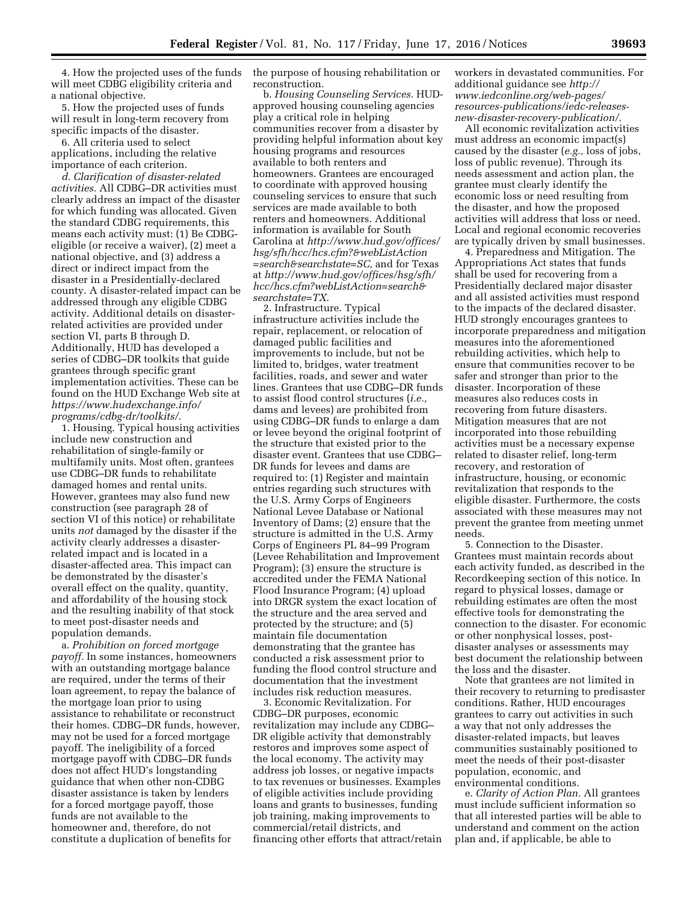4. How the projected uses of the funds will meet CDBG eligibility criteria and a national objective.

5. How the projected uses of funds will result in long-term recovery from specific impacts of the disaster.

6. All criteria used to select applications, including the relative importance of each criterion.

*d. Clarification of disaster-related activities.* All CDBG–DR activities must clearly address an impact of the disaster for which funding was allocated. Given the standard CDBG requirements, this means each activity must: (1) Be CDBGeligible (or receive a waiver), (2) meet a national objective, and (3) address a direct or indirect impact from the disaster in a Presidentially-declared county. A disaster-related impact can be addressed through any eligible CDBG activity. Additional details on disasterrelated activities are provided under section VI, parts B through D. Additionally, HUD has developed a series of CDBG–DR toolkits that guide grantees through specific grant implementation activities. These can be found on the HUD Exchange Web site at *[https://www.hudexchange.info/](https://www.hudexchange.info/programs/cdbg-dr/toolkits/) [programs/cdbg-dr/toolkits/](https://www.hudexchange.info/programs/cdbg-dr/toolkits/)*.

1. Housing. Typical housing activities include new construction and rehabilitation of single-family or multifamily units. Most often, grantees use CDBG–DR funds to rehabilitate damaged homes and rental units. However, grantees may also fund new construction (see paragraph 28 of section VI of this notice) or rehabilitate units *not* damaged by the disaster if the activity clearly addresses a disasterrelated impact and is located in a disaster-affected area. This impact can be demonstrated by the disaster's overall effect on the quality, quantity, and affordability of the housing stock and the resulting inability of that stock to meet post-disaster needs and population demands.

a. *Prohibition on forced mortgage payoff.* In some instances, homeowners with an outstanding mortgage balance are required, under the terms of their loan agreement, to repay the balance of the mortgage loan prior to using assistance to rehabilitate or reconstruct their homes. CDBG–DR funds, however, may not be used for a forced mortgage payoff. The ineligibility of a forced mortgage payoff with CDBG–DR funds does not affect HUD's longstanding guidance that when other non-CDBG disaster assistance is taken by lenders for a forced mortgage payoff, those funds are not available to the homeowner and, therefore, do not constitute a duplication of benefits for

the purpose of housing rehabilitation or reconstruction.

b. *Housing Counseling Services.* HUDapproved housing counseling agencies play a critical role in helping communities recover from a disaster by providing helpful information about key housing programs and resources available to both renters and homeowners. Grantees are encouraged to coordinate with approved housing counseling services to ensure that such services are made available to both renters and homeowners. Additional information is available for South Carolina at *[http://www.hud.gov/offices/](http://www.hud.gov/offices/hsg/sfh/hcc/hcs.cfm?&webListAction=search&searchstate=SC) [hsg/sfh/hcc/hcs.cfm?&webListAction](http://www.hud.gov/offices/hsg/sfh/hcc/hcs.cfm?&webListAction=search&searchstate=SC) [=search&searchstate=SC,](http://www.hud.gov/offices/hsg/sfh/hcc/hcs.cfm?&webListAction=search&searchstate=SC)* and for Texas at *[http://www.hud.gov/offices/hsg/sfh/](http://www.hud.gov/offices/hsg/sfh/hcc/hcs.cfm?webListAction=search&searchstate=TX) [hcc/hcs.cfm?webListAction=search&](http://www.hud.gov/offices/hsg/sfh/hcc/hcs.cfm?webListAction=search&searchstate=TX) [searchstate=TX](http://www.hud.gov/offices/hsg/sfh/hcc/hcs.cfm?webListAction=search&searchstate=TX)*.

2. Infrastructure. Typical infrastructure activities include the repair, replacement, or relocation of damaged public facilities and improvements to include, but not be limited to, bridges, water treatment facilities, roads, and sewer and water lines. Grantees that use CDBG–DR funds to assist flood control structures (*i.e.,*  dams and levees) are prohibited from using CDBG–DR funds to enlarge a dam or levee beyond the original footprint of the structure that existed prior to the disaster event. Grantees that use CDBG– DR funds for levees and dams are required to: (1) Register and maintain entries regarding such structures with the U.S. Army Corps of Engineers National Levee Database or National Inventory of Dams; (2) ensure that the structure is admitted in the U.S. Army Corps of Engineers PL 84–99 Program (Levee Rehabilitation and Improvement Program); (3) ensure the structure is accredited under the FEMA National Flood Insurance Program; (4) upload into DRGR system the exact location of the structure and the area served and protected by the structure; and (5) maintain file documentation demonstrating that the grantee has conducted a risk assessment prior to funding the flood control structure and documentation that the investment includes risk reduction measures.

3. Economic Revitalization. For CDBG–DR purposes, economic revitalization may include any CDBG– DR eligible activity that demonstrably restores and improves some aspect of the local economy. The activity may address job losses, or negative impacts to tax revenues or businesses. Examples of eligible activities include providing loans and grants to businesses, funding job training, making improvements to commercial/retail districts, and financing other efforts that attract/retain workers in devastated communities. For additional guidance see *[http://](http://www.iedconline.org/web-pages/resources-publications/iedc-releases-new-disaster-recovery-publication/) [www.iedconline.org/web-pages/](http://www.iedconline.org/web-pages/resources-publications/iedc-releases-new-disaster-recovery-publication/) [resources-publications/iedc-releases](http://www.iedconline.org/web-pages/resources-publications/iedc-releases-new-disaster-recovery-publication/)[new-disaster-recovery-publication/](http://www.iedconline.org/web-pages/resources-publications/iedc-releases-new-disaster-recovery-publication/)*.

All economic revitalization activities must address an economic impact(s) caused by the disaster (*e.g.,* loss of jobs, loss of public revenue). Through its needs assessment and action plan, the grantee must clearly identify the economic loss or need resulting from the disaster, and how the proposed activities will address that loss or need. Local and regional economic recoveries are typically driven by small businesses.

4. Preparedness and Mitigation. The Appropriations Act states that funds shall be used for recovering from a Presidentially declared major disaster and all assisted activities must respond to the impacts of the declared disaster. HUD strongly encourages grantees to incorporate preparedness and mitigation measures into the aforementioned rebuilding activities, which help to ensure that communities recover to be safer and stronger than prior to the disaster. Incorporation of these measures also reduces costs in recovering from future disasters. Mitigation measures that are not incorporated into those rebuilding activities must be a necessary expense related to disaster relief, long-term recovery, and restoration of infrastructure, housing, or economic revitalization that responds to the eligible disaster. Furthermore, the costs associated with these measures may not prevent the grantee from meeting unmet needs.

5. Connection to the Disaster. Grantees must maintain records about each activity funded, as described in the Recordkeeping section of this notice. In regard to physical losses, damage or rebuilding estimates are often the most effective tools for demonstrating the connection to the disaster. For economic or other nonphysical losses, postdisaster analyses or assessments may best document the relationship between the loss and the disaster.

Note that grantees are not limited in their recovery to returning to predisaster conditions. Rather, HUD encourages grantees to carry out activities in such a way that not only addresses the disaster-related impacts, but leaves communities sustainably positioned to meet the needs of their post-disaster population, economic, and environmental conditions.

e. *Clarity of Action Plan.* All grantees must include sufficient information so that all interested parties will be able to understand and comment on the action plan and, if applicable, be able to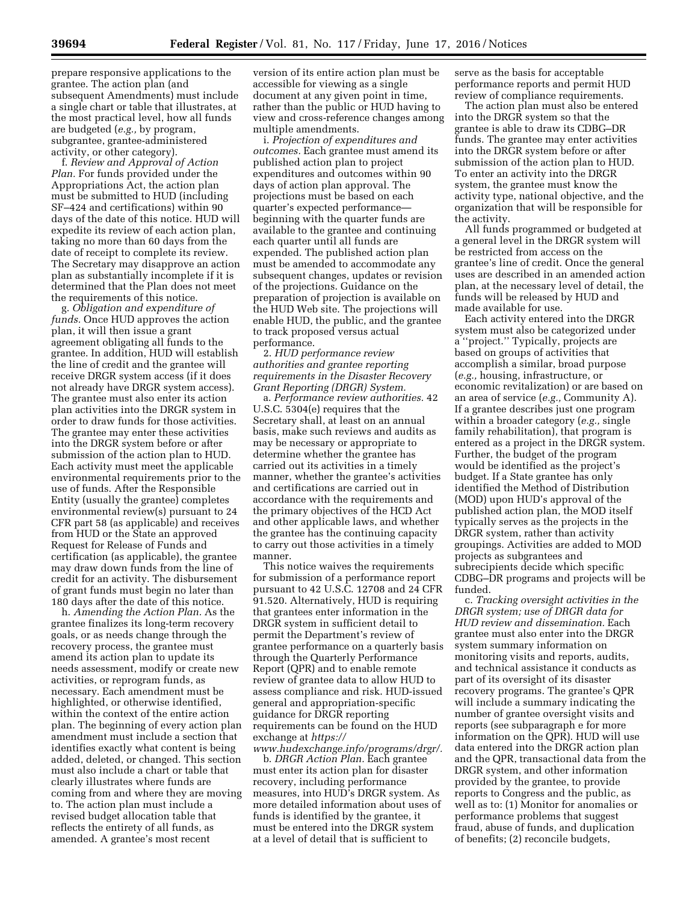prepare responsive applications to the grantee. The action plan (and subsequent Amendments) must include a single chart or table that illustrates, at the most practical level, how all funds are budgeted (*e.g.,* by program, subgrantee, grantee-administered activity, or other category).

f. *Review and Approval of Action Plan.* For funds provided under the Appropriations Act, the action plan must be submitted to HUD (including SF–424 and certifications) within 90 days of the date of this notice. HUD will expedite its review of each action plan, taking no more than 60 days from the date of receipt to complete its review. The Secretary may disapprove an action plan as substantially incomplete if it is determined that the Plan does not meet the requirements of this notice.

g. *Obligation and expenditure of funds.* Once HUD approves the action plan, it will then issue a grant agreement obligating all funds to the grantee. In addition, HUD will establish the line of credit and the grantee will receive DRGR system access (if it does not already have DRGR system access). The grantee must also enter its action plan activities into the DRGR system in order to draw funds for those activities. The grantee may enter these activities into the DRGR system before or after submission of the action plan to HUD. Each activity must meet the applicable environmental requirements prior to the use of funds. After the Responsible Entity (usually the grantee) completes environmental review(s) pursuant to 24 CFR part 58 (as applicable) and receives from HUD or the State an approved Request for Release of Funds and certification (as applicable), the grantee may draw down funds from the line of credit for an activity. The disbursement of grant funds must begin no later than 180 days after the date of this notice.

h. *Amending the Action Plan.* As the grantee finalizes its long-term recovery goals, or as needs change through the recovery process, the grantee must amend its action plan to update its needs assessment, modify or create new activities, or reprogram funds, as necessary. Each amendment must be highlighted, or otherwise identified, within the context of the entire action plan. The beginning of every action plan amendment must include a section that identifies exactly what content is being added, deleted, or changed. This section must also include a chart or table that clearly illustrates where funds are coming from and where they are moving to. The action plan must include a revised budget allocation table that reflects the entirety of all funds, as amended. A grantee's most recent

version of its entire action plan must be accessible for viewing as a single document at any given point in time, rather than the public or HUD having to view and cross-reference changes among multiple amendments.

i. *Projection of expenditures and outcomes.* Each grantee must amend its published action plan to project expenditures and outcomes within 90 days of action plan approval. The projections must be based on each quarter's expected performance beginning with the quarter funds are available to the grantee and continuing each quarter until all funds are expended. The published action plan must be amended to accommodate any subsequent changes, updates or revision of the projections. Guidance on the preparation of projection is available on the HUD Web site. The projections will enable HUD, the public, and the grantee to track proposed versus actual performance.

2. *HUD performance review authorities and grantee reporting requirements in the Disaster Recovery Grant Reporting (DRGR) System.* 

a. *Performance review authorities.* 42 U.S.C. 5304(e) requires that the Secretary shall, at least on an annual basis, make such reviews and audits as may be necessary or appropriate to determine whether the grantee has carried out its activities in a timely manner, whether the grantee's activities and certifications are carried out in accordance with the requirements and the primary objectives of the HCD Act and other applicable laws, and whether the grantee has the continuing capacity to carry out those activities in a timely manner.

This notice waives the requirements for submission of a performance report pursuant to 42 U.S.C. 12708 and 24 CFR 91.520. Alternatively, HUD is requiring that grantees enter information in the DRGR system in sufficient detail to permit the Department's review of grantee performance on a quarterly basis through the Quarterly Performance Report (QPR) and to enable remote review of grantee data to allow HUD to assess compliance and risk. HUD-issued general and appropriation-specific guidance for DRGR reporting requirements can be found on the HUD exchange at *[https://](https://www.hudexchange.info/programs/drgr/)*

*[www.hudexchange.info/programs/drgr/.](https://www.hudexchange.info/programs/drgr/)*  b. *DRGR Action Plan.* Each grantee must enter its action plan for disaster recovery, including performance measures, into HUD's DRGR system. As more detailed information about uses of funds is identified by the grantee, it must be entered into the DRGR system at a level of detail that is sufficient to

serve as the basis for acceptable performance reports and permit HUD review of compliance requirements.

The action plan must also be entered into the DRGR system so that the grantee is able to draw its CDBG–DR funds. The grantee may enter activities into the DRGR system before or after submission of the action plan to HUD. To enter an activity into the DRGR system, the grantee must know the activity type, national objective, and the organization that will be responsible for the activity.

All funds programmed or budgeted at a general level in the DRGR system will be restricted from access on the grantee's line of credit. Once the general uses are described in an amended action plan, at the necessary level of detail, the funds will be released by HUD and made available for use.

Each activity entered into the DRGR system must also be categorized under a ''project.'' Typically, projects are based on groups of activities that accomplish a similar, broad purpose (*e.g.,* housing, infrastructure, or economic revitalization) or are based on an area of service (*e.g.,* Community A). If a grantee describes just one program within a broader category (*e.g.,* single family rehabilitation), that program is entered as a project in the DRGR system. Further, the budget of the program would be identified as the project's budget. If a State grantee has only identified the Method of Distribution (MOD) upon HUD's approval of the published action plan, the MOD itself typically serves as the projects in the DRGR system, rather than activity groupings. Activities are added to MOD projects as subgrantees and subrecipients decide which specific CDBG–DR programs and projects will be funded.

c. *Tracking oversight activities in the DRGR system; use of DRGR data for HUD review and dissemination.* Each grantee must also enter into the DRGR system summary information on monitoring visits and reports, audits, and technical assistance it conducts as part of its oversight of its disaster recovery programs. The grantee's QPR will include a summary indicating the number of grantee oversight visits and reports (see subparagraph e for more information on the QPR). HUD will use data entered into the DRGR action plan and the QPR, transactional data from the DRGR system, and other information provided by the grantee, to provide reports to Congress and the public, as well as to: (1) Monitor for anomalies or performance problems that suggest fraud, abuse of funds, and duplication of benefits; (2) reconcile budgets,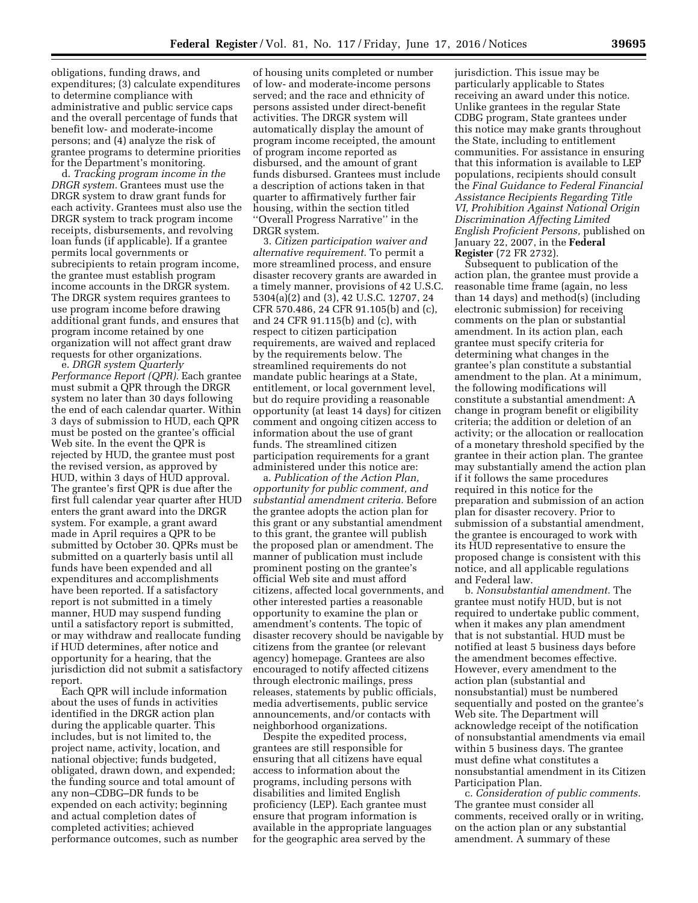obligations, funding draws, and expenditures; (3) calculate expenditures to determine compliance with administrative and public service caps and the overall percentage of funds that benefit low- and moderate-income persons; and (4) analyze the risk of grantee programs to determine priorities for the Department's monitoring.

d. *Tracking program income in the DRGR system.* Grantees must use the DRGR system to draw grant funds for each activity. Grantees must also use the DRGR system to track program income receipts, disbursements, and revolving loan funds (if applicable). If a grantee permits local governments or subrecipients to retain program income, the grantee must establish program income accounts in the DRGR system. The DRGR system requires grantees to use program income before drawing additional grant funds, and ensures that program income retained by one organization will not affect grant draw requests for other organizations.

e. *DRGR system Quarterly Performance Report (QPR).* Each grantee must submit a QPR through the DRGR system no later than 30 days following the end of each calendar quarter. Within 3 days of submission to HUD, each QPR must be posted on the grantee's official Web site. In the event the QPR is rejected by HUD, the grantee must post the revised version, as approved by HUD, within 3 days of HUD approval. The grantee's first QPR is due after the first full calendar year quarter after HUD enters the grant award into the DRGR system. For example, a grant award made in April requires a QPR to be submitted by October 30. QPRs must be submitted on a quarterly basis until all funds have been expended and all expenditures and accomplishments have been reported. If a satisfactory report is not submitted in a timely manner, HUD may suspend funding until a satisfactory report is submitted, or may withdraw and reallocate funding if HUD determines, after notice and opportunity for a hearing, that the jurisdiction did not submit a satisfactory report.

Each QPR will include information about the uses of funds in activities identified in the DRGR action plan during the applicable quarter. This includes, but is not limited to, the project name, activity, location, and national objective; funds budgeted, obligated, drawn down, and expended; the funding source and total amount of any non–CDBG–DR funds to be expended on each activity; beginning and actual completion dates of completed activities; achieved performance outcomes, such as number

of housing units completed or number of low- and moderate-income persons served; and the race and ethnicity of persons assisted under direct-benefit activities. The DRGR system will automatically display the amount of program income receipted, the amount of program income reported as disbursed, and the amount of grant funds disbursed. Grantees must include a description of actions taken in that quarter to affirmatively further fair housing, within the section titled ''Overall Progress Narrative'' in the DRGR system.

3. *Citizen participation waiver and alternative requirement.* To permit a more streamlined process, and ensure disaster recovery grants are awarded in a timely manner, provisions of 42 U.S.C. 5304(a)(2) and (3), 42 U.S.C. 12707, 24 CFR 570.486, 24 CFR 91.105(b) and (c), and 24 CFR 91.115(b) and (c), with respect to citizen participation requirements, are waived and replaced by the requirements below. The streamlined requirements do not mandate public hearings at a State, entitlement, or local government level, but do require providing a reasonable opportunity (at least 14 days) for citizen comment and ongoing citizen access to information about the use of grant funds. The streamlined citizen participation requirements for a grant administered under this notice are:

a. *Publication of the Action Plan, opportunity for public comment, and substantial amendment criteria.* Before the grantee adopts the action plan for this grant or any substantial amendment to this grant, the grantee will publish the proposed plan or amendment. The manner of publication must include prominent posting on the grantee's official Web site and must afford citizens, affected local governments, and other interested parties a reasonable opportunity to examine the plan or amendment's contents. The topic of disaster recovery should be navigable by citizens from the grantee (or relevant agency) homepage. Grantees are also encouraged to notify affected citizens through electronic mailings, press releases, statements by public officials, media advertisements, public service announcements, and/or contacts with neighborhood organizations.

Despite the expedited process, grantees are still responsible for ensuring that all citizens have equal access to information about the programs, including persons with disabilities and limited English proficiency (LEP). Each grantee must ensure that program information is available in the appropriate languages for the geographic area served by the

jurisdiction. This issue may be particularly applicable to States receiving an award under this notice. Unlike grantees in the regular State CDBG program, State grantees under this notice may make grants throughout the State, including to entitlement communities. For assistance in ensuring that this information is available to LEP populations, recipients should consult the *Final Guidance to Federal Financial Assistance Recipients Regarding Title VI, Prohibition Against National Origin Discrimination Affecting Limited English Proficient Persons,* published on January 22, 2007, in the **Federal Register** (72 FR 2732).

Subsequent to publication of the action plan, the grantee must provide a reasonable time frame (again, no less than 14 days) and method(s) (including electronic submission) for receiving comments on the plan or substantial amendment. In its action plan, each grantee must specify criteria for determining what changes in the grantee's plan constitute a substantial amendment to the plan. At a minimum, the following modifications will constitute a substantial amendment: A change in program benefit or eligibility criteria; the addition or deletion of an activity; or the allocation or reallocation of a monetary threshold specified by the grantee in their action plan. The grantee may substantially amend the action plan if it follows the same procedures required in this notice for the preparation and submission of an action plan for disaster recovery. Prior to submission of a substantial amendment, the grantee is encouraged to work with its HUD representative to ensure the proposed change is consistent with this notice, and all applicable regulations and Federal law.

b. *Nonsubstantial amendment.* The grantee must notify HUD, but is not required to undertake public comment, when it makes any plan amendment that is not substantial. HUD must be notified at least 5 business days before the amendment becomes effective. However, every amendment to the action plan (substantial and nonsubstantial) must be numbered sequentially and posted on the grantee's Web site. The Department will acknowledge receipt of the notification of nonsubstantial amendments via email within 5 business days. The grantee must define what constitutes a nonsubstantial amendment in its Citizen Participation Plan.

c. *Consideration of public comments.*  The grantee must consider all comments, received orally or in writing, on the action plan or any substantial amendment. A summary of these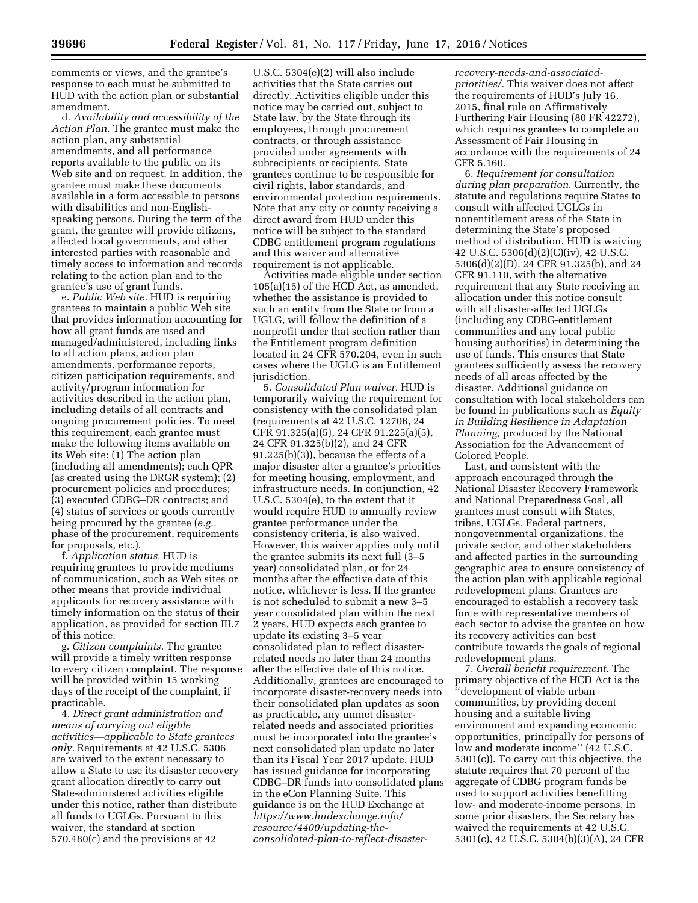comments or views, and the grantee's response to each must be submitted to HUD with the action plan or substantial amendment.

d. *Availability and accessibility of the Action Plan.* The grantee must make the action plan, any substantial amendments, and all performance reports available to the public on its Web site and on request. In addition, the grantee must make these documents available in a form accessible to persons with disabilities and non-Englishspeaking persons. During the term of the grant, the grantee will provide citizens, affected local governments, and other interested parties with reasonable and timely access to information and records relating to the action plan and to the grantee's use of grant funds.

e. *Public Web site.* HUD is requiring grantees to maintain a public Web site that provides information accounting for how all grant funds are used and managed/administered, including links to all action plans, action plan amendments, performance reports, citizen participation requirements, and activity/program information for activities described in the action plan, including details of all contracts and ongoing procurement policies. To meet this requirement, each grantee must make the following items available on its Web site: (1) The action plan (including all amendments); each QPR (as created using the DRGR system); (2) procurement policies and procedures; (3) executed CDBG–DR contracts; and (4) status of services or goods currently being procured by the grantee (*e.g.,*  phase of the procurement, requirements for proposals, etc.).

f. *Application status.* HUD is requiring grantees to provide mediums of communication, such as Web sites or other means that provide individual applicants for recovery assistance with timely information on the status of their application, as provided for section III.7 of this notice.

g. *Citizen complaints.* The grantee will provide a timely written response to every citizen complaint. The response will be provided within 15 working days of the receipt of the complaint, if practicable.

4. *Direct grant administration and means of carrying out eligible activities—applicable to State grantees only.* Requirements at 42 U.S.C. 5306 are waived to the extent necessary to allow a State to use its disaster recovery grant allocation directly to carry out State-administered activities eligible under this notice, rather than distribute all funds to UGLGs. Pursuant to this waiver, the standard at section 570.480(c) and the provisions at 42

U.S.C. 5304(e)(2) will also include activities that the State carries out directly. Activities eligible under this notice may be carried out, subject to State law, by the State through its employees, through procurement contracts, or through assistance provided under agreements with subrecipients or recipients. State grantees continue to be responsible for civil rights, labor standards, and environmental protection requirements. Note that any city or county receiving a direct award from HUD under this notice will be subject to the standard CDBG entitlement program regulations and this waiver and alternative requirement is not applicable.

Activities made eligible under section 105(a)(15) of the HCD Act, as amended, whether the assistance is provided to such an entity from the State or from a UGLG, will follow the definition of a nonprofit under that section rather than the Entitlement program definition located in 24 CFR 570.204, even in such cases where the UGLG is an Entitlement jurisdiction.

5. *Consolidated Plan waiver.* HUD is temporarily waiving the requirement for consistency with the consolidated plan (requirements at 42 U.S.C. 12706, 24 CFR 91.325(a)(5), 24 CFR 91.225(a)(5), 24 CFR 91.325(b)(2), and 24 CFR 91.225(b)(3)), because the effects of a major disaster alter a grantee's priorities for meeting housing, employment, and infrastructure needs. In conjunction, 42 U.S.C. 5304(e), to the extent that it would require HUD to annually review grantee performance under the consistency criteria, is also waived. However, this waiver applies only until the grantee submits its next full (3–5 year) consolidated plan, or for 24 months after the effective date of this notice, whichever is less. If the grantee is not scheduled to submit a new 3–5 year consolidated plan within the next 2 years, HUD expects each grantee to update its existing 3–5 year consolidated plan to reflect disasterrelated needs no later than 24 months after the effective date of this notice. Additionally, grantees are encouraged to incorporate disaster-recovery needs into their consolidated plan updates as soon as practicable, any unmet disasterrelated needs and associated priorities must be incorporated into the grantee's next consolidated plan update no later than its Fiscal Year 2017 update. HUD has issued guidance for incorporating CDBG–DR funds into consolidated plans in the eCon Planning Suite. This guidance is on the HUD Exchange at *[https://www.hudexchange.info/](https://www.hudexchange.info/resource/4400/updating-the-consolidated-plan-to-reflect-disaster-recovery-needs-and-associated-priorities/) [resource/4400/updating-the](https://www.hudexchange.info/resource/4400/updating-the-consolidated-plan-to-reflect-disaster-recovery-needs-and-associated-priorities/)[consolidated-plan-to-reflect-disaster-](https://www.hudexchange.info/resource/4400/updating-the-consolidated-plan-to-reflect-disaster-recovery-needs-and-associated-priorities/)* *[recovery-needs-and-associated](https://www.hudexchange.info/resource/4400/updating-the-consolidated-plan-to-reflect-disaster-recovery-needs-and-associated-priorities/)[priorities/.](https://www.hudexchange.info/resource/4400/updating-the-consolidated-plan-to-reflect-disaster-recovery-needs-and-associated-priorities/)* This waiver does not affect the requirements of HUD's July 16, 2015, final rule on Affirmatively Furthering Fair Housing (80 FR 42272), which requires grantees to complete an Assessment of Fair Housing in accordance with the requirements of 24 CFR 5.160.

6. *Requirement for consultation during plan preparation.* Currently, the statute and regulations require States to consult with affected UGLGs in nonentitlement areas of the State in determining the State's proposed method of distribution. HUD is waiving 42 U.S.C. 5306(d)(2)(C)(iv), 42 U.S.C. 5306(d)(2)(D), 24 CFR 91.325(b), and 24 CFR 91.110, with the alternative requirement that any State receiving an allocation under this notice consult with all disaster-affected UGLGs (including any CDBG-entitlement communities and any local public housing authorities) in determining the use of funds. This ensures that State grantees sufficiently assess the recovery needs of all areas affected by the disaster. Additional guidance on consultation with local stakeholders can be found in publications such as *Equity in Building Resilience in Adaptation Planning,* produced by the National Association for the Advancement of Colored People.

Last, and consistent with the approach encouraged through the National Disaster Recovery Framework and National Preparedness Goal, all grantees must consult with States, tribes, UGLGs, Federal partners, nongovernmental organizations, the private sector, and other stakeholders and affected parties in the surrounding geographic area to ensure consistency of the action plan with applicable regional redevelopment plans. Grantees are encouraged to establish a recovery task force with representative members of each sector to advise the grantee on how its recovery activities can best contribute towards the goals of regional redevelopment plans.

7. *Overall benefit requirement.* The primary objective of the HCD Act is the ''development of viable urban communities, by providing decent housing and a suitable living environment and expanding economic opportunities, principally for persons of low and moderate income'' (42 U.S.C. 5301(c)). To carry out this objective, the statute requires that 70 percent of the aggregate of CDBG program funds be used to support activities benefitting low- and moderate-income persons. In some prior disasters, the Secretary has waived the requirements at 42 U.S.C. 5301(c), 42 U.S.C. 5304(b)(3)(A), 24 CFR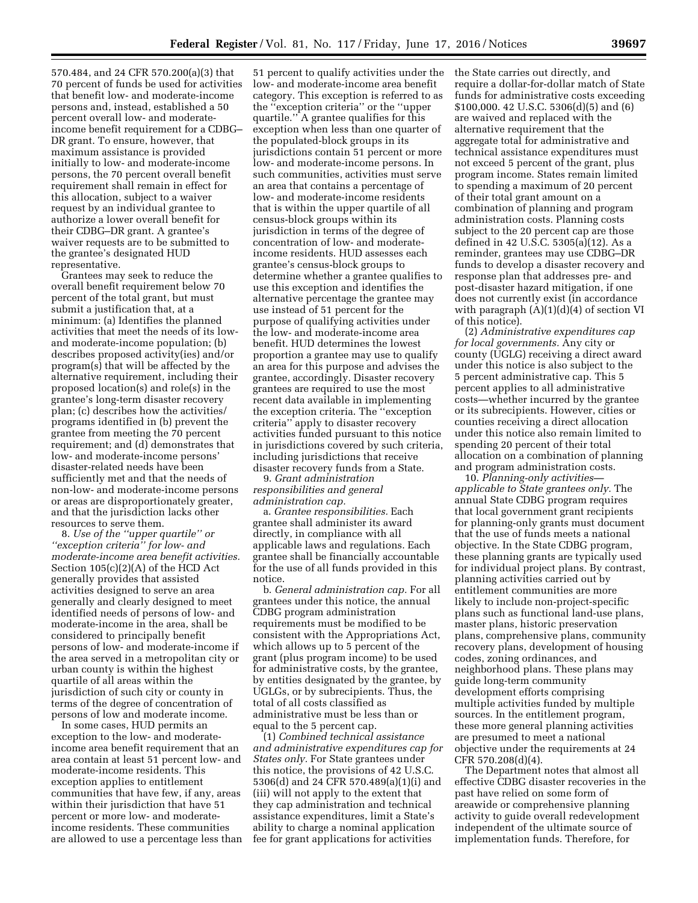570.484, and 24 CFR 570.200(a)(3) that 70 percent of funds be used for activities that benefit low- and moderate-income persons and, instead, established a 50 percent overall low- and moderateincome benefit requirement for a CDBG– DR grant. To ensure, however, that maximum assistance is provided initially to low- and moderate-income persons, the 70 percent overall benefit requirement shall remain in effect for this allocation, subject to a waiver request by an individual grantee to authorize a lower overall benefit for their CDBG–DR grant. A grantee's waiver requests are to be submitted to the grantee's designated HUD representative.

Grantees may seek to reduce the overall benefit requirement below 70 percent of the total grant, but must submit a justification that, at a minimum: (a) Identifies the planned activities that meet the needs of its lowand moderate-income population; (b) describes proposed activity(ies) and/or program(s) that will be affected by the alternative requirement, including their proposed location(s) and role(s) in the grantee's long-term disaster recovery plan; (c) describes how the activities/ programs identified in (b) prevent the grantee from meeting the 70 percent requirement; and (d) demonstrates that low- and moderate-income persons' disaster-related needs have been sufficiently met and that the needs of non-low- and moderate-income persons or areas are disproportionately greater, and that the jurisdiction lacks other resources to serve them.

8. *Use of the ''upper quartile'' or ''exception criteria'' for low- and moderate-income area benefit activities.*  Section 105(c)(2)(A) of the HCD Act generally provides that assisted activities designed to serve an area generally and clearly designed to meet identified needs of persons of low- and moderate-income in the area, shall be considered to principally benefit persons of low- and moderate-income if the area served in a metropolitan city or urban county is within the highest quartile of all areas within the jurisdiction of such city or county in terms of the degree of concentration of persons of low and moderate income.

In some cases, HUD permits an exception to the low- and moderateincome area benefit requirement that an area contain at least 51 percent low- and moderate-income residents. This exception applies to entitlement communities that have few, if any, areas within their jurisdiction that have 51 percent or more low- and moderateincome residents. These communities are allowed to use a percentage less than

51 percent to qualify activities under the low- and moderate-income area benefit category. This exception is referred to as the ''exception criteria'' or the ''upper quartile.'' A grantee qualifies for this exception when less than one quarter of the populated-block groups in its jurisdictions contain 51 percent or more low- and moderate-income persons. In such communities, activities must serve an area that contains a percentage of low- and moderate-income residents that is within the upper quartile of all census-block groups within its jurisdiction in terms of the degree of concentration of low- and moderateincome residents. HUD assesses each grantee's census-block groups to determine whether a grantee qualifies to use this exception and identifies the alternative percentage the grantee may use instead of 51 percent for the purpose of qualifying activities under the low- and moderate-income area benefit. HUD determines the lowest proportion a grantee may use to qualify an area for this purpose and advises the grantee, accordingly. Disaster recovery grantees are required to use the most recent data available in implementing the exception criteria. The ''exception criteria'' apply to disaster recovery activities funded pursuant to this notice in jurisdictions covered by such criteria, including jurisdictions that receive disaster recovery funds from a State.

9. *Grant administration responsibilities and general administration cap.* 

a. *Grantee responsibilities.* Each grantee shall administer its award directly, in compliance with all applicable laws and regulations. Each grantee shall be financially accountable for the use of all funds provided in this notice.

b. *General administration cap.* For all grantees under this notice, the annual CDBG program administration requirements must be modified to be consistent with the Appropriations Act, which allows up to 5 percent of the grant (plus program income) to be used for administrative costs, by the grantee, by entities designated by the grantee, by UGLGs, or by subrecipients. Thus, the total of all costs classified as administrative must be less than or equal to the 5 percent cap.

(1) *Combined technical assistance and administrative expenditures cap for States only.* For State grantees under this notice, the provisions of 42 U.S.C. 5306(d) and 24 CFR 570.489(a)(1)(i) and (iii) will not apply to the extent that they cap administration and technical assistance expenditures, limit a State's ability to charge a nominal application fee for grant applications for activities

the State carries out directly, and require a dollar-for-dollar match of State funds for administrative costs exceeding \$100,000. 42 U.S.C. 5306(d)(5) and (6) are waived and replaced with the alternative requirement that the aggregate total for administrative and technical assistance expenditures must not exceed 5 percent of the grant, plus program income. States remain limited to spending a maximum of 20 percent of their total grant amount on a combination of planning and program administration costs. Planning costs subject to the 20 percent cap are those defined in 42 U.S.C. 5305(a)(12). As a reminder, grantees may use CDBG–DR funds to develop a disaster recovery and response plan that addresses pre- and post-disaster hazard mitigation, if one does not currently exist (in accordance with paragraph  $(A)(1)(d)(4)$  of section VI of this notice).

(2) *Administrative expenditures cap for local governments.* Any city or county (UGLG) receiving a direct award under this notice is also subject to the 5 percent administrative cap. This 5 percent applies to all administrative costs—whether incurred by the grantee or its subrecipients. However, cities or counties receiving a direct allocation under this notice also remain limited to spending 20 percent of their total allocation on a combination of planning and program administration costs.

10. *Planning-only activities applicable to State grantees only.* The annual State CDBG program requires that local government grant recipients for planning-only grants must document that the use of funds meets a national objective. In the State CDBG program, these planning grants are typically used for individual project plans. By contrast, planning activities carried out by entitlement communities are more likely to include non-project-specific plans such as functional land-use plans, master plans, historic preservation plans, comprehensive plans, community recovery plans, development of housing codes, zoning ordinances, and neighborhood plans. These plans may guide long-term community development efforts comprising multiple activities funded by multiple sources. In the entitlement program, these more general planning activities are presumed to meet a national objective under the requirements at 24 CFR 570.208(d)(4).

The Department notes that almost all effective CDBG disaster recoveries in the past have relied on some form of areawide or comprehensive planning activity to guide overall redevelopment independent of the ultimate source of implementation funds. Therefore, for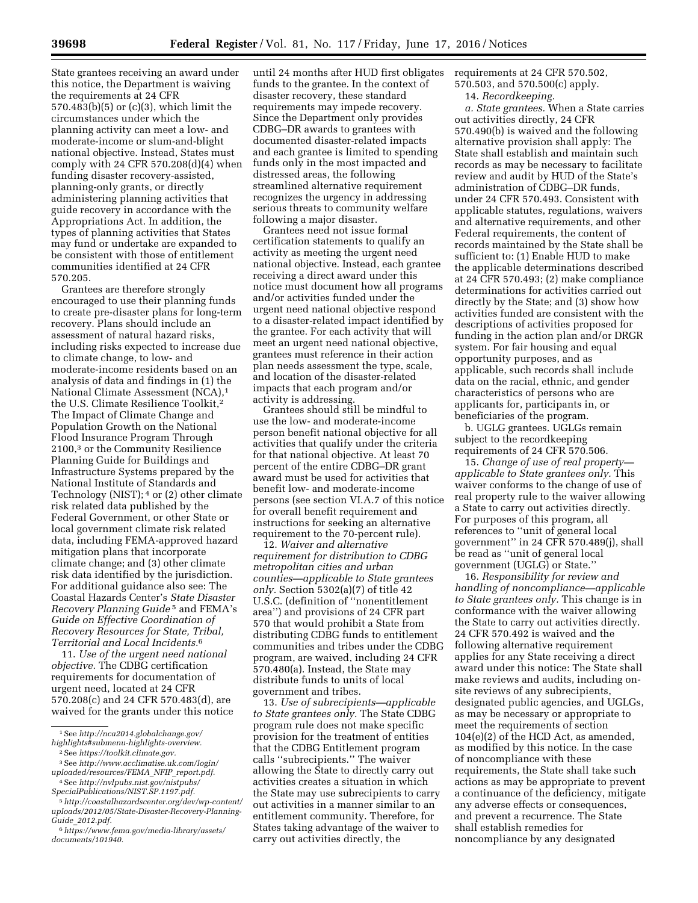State grantees receiving an award under this notice, the Department is waiving the requirements at 24 CFR 570.483(b)(5) or (c)(3), which limit the circumstances under which the planning activity can meet a low- and moderate-income or slum-and-blight national objective. Instead, States must comply with 24 CFR 570.208(d)(4) when funding disaster recovery-assisted, planning-only grants, or directly administering planning activities that guide recovery in accordance with the Appropriations Act. In addition, the types of planning activities that States may fund or undertake are expanded to be consistent with those of entitlement communities identified at 24 CFR 570.205.

Grantees are therefore strongly encouraged to use their planning funds to create pre-disaster plans for long-term recovery. Plans should include an assessment of natural hazard risks, including risks expected to increase due to climate change, to low- and moderate-income residents based on an analysis of data and findings in (1) the National Climate Assessment (NCA),1 the U.S. Climate Resilience Toolkit,2 The Impact of Climate Change and Population Growth on the National Flood Insurance Program Through 2100,3 or the Community Resilience Planning Guide for Buildings and Infrastructure Systems prepared by the National Institute of Standards and Technology (NIST); 4 or (2) other climate risk related data published by the Federal Government, or other State or local government climate risk related data, including FEMA-approved hazard mitigation plans that incorporate climate change; and (3) other climate risk data identified by the jurisdiction. For additional guidance also see: The Coastal Hazards Center's *State Disaster Recovery Planning Guide* 5 and FEMA's *Guide on Effective Coordination of Recovery Resources for State, Tribal, Territorial and Local Incidents.*6

11. *Use of the urgent need national objective.* The CDBG certification requirements for documentation of urgent need, located at 24 CFR 570.208(c) and 24 CFR 570.483(d), are waived for the grants under this notice

until 24 months after HUD first obligates funds to the grantee. In the context of disaster recovery, these standard requirements may impede recovery. Since the Department only provides CDBG–DR awards to grantees with documented disaster-related impacts and each grantee is limited to spending funds only in the most impacted and distressed areas, the following streamlined alternative requirement recognizes the urgency in addressing serious threats to community welfare following a major disaster.

Grantees need not issue formal certification statements to qualify an activity as meeting the urgent need national objective. Instead, each grantee receiving a direct award under this notice must document how all programs and/or activities funded under the urgent need national objective respond to a disaster-related impact identified by the grantee. For each activity that will meet an urgent need national objective, grantees must reference in their action plan needs assessment the type, scale, and location of the disaster-related impacts that each program and/or activity is addressing.

Grantees should still be mindful to use the low- and moderate-income person benefit national objective for all activities that qualify under the criteria for that national objective. At least 70 percent of the entire CDBG–DR grant award must be used for activities that benefit low- and moderate-income persons (see section VI.A.7 of this notice for overall benefit requirement and instructions for seeking an alternative requirement to the 70-percent rule).

12. *Waiver and alternative requirement for distribution to CDBG metropolitan cities and urban counties—applicable to State grantees only.* Section 5302(a)(7) of title 42 U.S.C. (definition of ''nonentitlement area'') and provisions of 24 CFR part 570 that would prohibit a State from distributing CDBG funds to entitlement communities and tribes under the CDBG program, are waived, including 24 CFR 570.480(a). Instead, the State may distribute funds to units of local government and tribes.

13. *Use of subrecipients—applicable to State grantees only.* The State CDBG program rule does not make specific provision for the treatment of entities that the CDBG Entitlement program calls ''subrecipients.'' The waiver allowing the State to directly carry out activities creates a situation in which the State may use subrecipients to carry out activities in a manner similar to an entitlement community. Therefore, for States taking advantage of the waiver to carry out activities directly, the

requirements at 24 CFR 570.502,

570.503, and 570.500(c) apply. 14. *Recordkeeping.* 

*a. State grantees.* When a State carries out activities directly, 24 CFR 570.490(b) is waived and the following alternative provision shall apply: The State shall establish and maintain such records as may be necessary to facilitate review and audit by HUD of the State's administration of CDBG–DR funds, under 24 CFR 570.493. Consistent with applicable statutes, regulations, waivers and alternative requirements, and other Federal requirements, the content of records maintained by the State shall be sufficient to: (1) Enable HUD to make the applicable determinations described at 24 CFR 570.493; (2) make compliance determinations for activities carried out directly by the State; and (3) show how activities funded are consistent with the descriptions of activities proposed for funding in the action plan and/or DRGR system. For fair housing and equal opportunity purposes, and as applicable, such records shall include data on the racial, ethnic, and gender characteristics of persons who are applicants for, participants in, or beneficiaries of the program.

b. UGLG grantees. UGLGs remain subject to the recordkeeping requirements of 24 CFR 570.506.

15. *Change of use of real property applicable to State grantees only.* This waiver conforms to the change of use of real property rule to the waiver allowing a State to carry out activities directly. For purposes of this program, all references to ''unit of general local government'' in 24 CFR 570.489(j), shall be read as ''unit of general local government (UGLG) or State.''

16. *Responsibility for review and handling of noncompliance—applicable to State grantees only.* This change is in conformance with the waiver allowing the State to carry out activities directly. 24 CFR 570.492 is waived and the following alternative requirement applies for any State receiving a direct award under this notice: The State shall make reviews and audits, including onsite reviews of any subrecipients, designated public agencies, and UGLGs, as may be necessary or appropriate to meet the requirements of section 104(e)(2) of the HCD Act, as amended, as modified by this notice. In the case of noncompliance with these requirements, the State shall take such actions as may be appropriate to prevent a continuance of the deficiency, mitigate any adverse effects or consequences, and prevent a recurrence. The State shall establish remedies for noncompliance by any designated

<sup>1</sup>See *[http://nca2014.globalchange.gov/](http://nca2014.globalchange.gov/highlights#submenu-highlights-overview) [highlights#submenu-highlights-overview.](http://nca2014.globalchange.gov/highlights#submenu-highlights-overview)* 

<sup>2</sup>See *[https://toolkit.climate.gov.](https://toolkit.climate.gov)* 

<sup>3</sup>See *[http://www.acclimatise.uk.com/login/](http://www.acclimatise.uk.com/login/uploaded/resources/FEMA_NFIP_report.pdf) [uploaded/resources/FEMA](http://www.acclimatise.uk.com/login/uploaded/resources/FEMA_NFIP_report.pdf)*\_*NFIP*\_*report.pdf.* 

<sup>4</sup>See *[http://nvlpubs.nist.gov/nistpubs/](http://nvlpubs.nist.gov/nistpubs/SpecialPublications/NIST.SP.1197.pdf) [SpecialPublications/NIST.SP.1197.pdf.](http://nvlpubs.nist.gov/nistpubs/SpecialPublications/NIST.SP.1197.pdf)* 

<sup>5</sup>*[http://coastalhazardscenter.org/dev/wp-content/](http://coastalhazardscenter.org/dev/wp-content/uploads/2012/05/State-Disaster-Recovery-Planning-Guide_2012.pdf) [uploads/2012/05/State-Disaster-Recovery-Planning-](http://coastalhazardscenter.org/dev/wp-content/uploads/2012/05/State-Disaster-Recovery-Planning-Guide_2012.pdf)Guide*\_*[2012.pdf.](http://coastalhazardscenter.org/dev/wp-content/uploads/2012/05/State-Disaster-Recovery-Planning-Guide_2012.pdf)* 

<sup>6</sup>*[https://www.fema.gov/media-library/assets/](https://www.fema.gov/media-library/assets/documents/101940) [documents/101940.](https://www.fema.gov/media-library/assets/documents/101940)*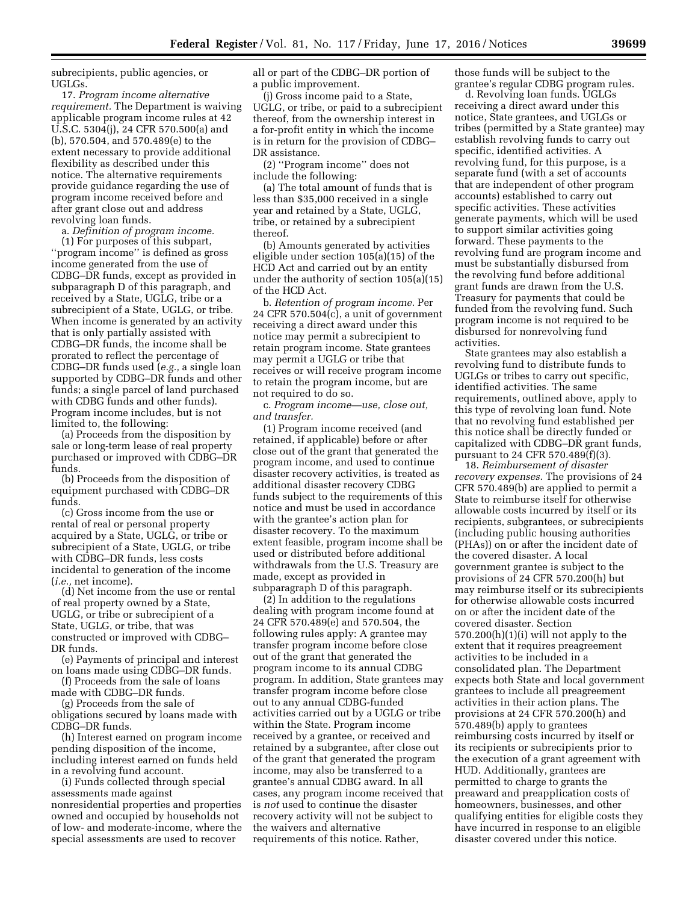subrecipients, public agencies, or UGLGs.

17. *Program income alternative requirement.* The Department is waiving applicable program income rules at 42 U.S.C. 5304(j), 24 CFR 570.500(a) and (b), 570.504, and 570.489(e) to the extent necessary to provide additional flexibility as described under this notice. The alternative requirements provide guidance regarding the use of program income received before and after grant close out and address revolving loan funds.

a. *Definition of program income.* 

(1) For purposes of this subpart, ''program income'' is defined as gross income generated from the use of CDBG–DR funds, except as provided in subparagraph D of this paragraph, and received by a State, UGLG, tribe or a subrecipient of a State, UGLG, or tribe. When income is generated by an activity that is only partially assisted with CDBG–DR funds, the income shall be prorated to reflect the percentage of CDBG–DR funds used (*e.g.,* a single loan supported by CDBG–DR funds and other funds; a single parcel of land purchased with CDBG funds and other funds). Program income includes, but is not limited to, the following:

(a) Proceeds from the disposition by sale or long-term lease of real property purchased or improved with CDBG–DR funds.

(b) Proceeds from the disposition of equipment purchased with CDBG–DR funds.

(c) Gross income from the use or rental of real or personal property acquired by a State, UGLG, or tribe or subrecipient of a State, UGLG, or tribe with CDBG–DR funds, less costs incidental to generation of the income (*i.e.,* net income).

(d) Net income from the use or rental of real property owned by a State, UGLG, or tribe or subrecipient of a State, UGLG, or tribe, that was constructed or improved with CDBG– DR funds.

(e) Payments of principal and interest on loans made using CDBG–DR funds.

(f) Proceeds from the sale of loans made with CDBG–DR funds.

(g) Proceeds from the sale of obligations secured by loans made with CDBG–DR funds.

(h) Interest earned on program income pending disposition of the income, including interest earned on funds held in a revolving fund account.

(i) Funds collected through special assessments made against nonresidential properties and properties owned and occupied by households not of low- and moderate-income, where the special assessments are used to recover

all or part of the CDBG–DR portion of a public improvement.

(j) Gross income paid to a State, UGLG, or tribe, or paid to a subrecipient thereof, from the ownership interest in a for-profit entity in which the income is in return for the provision of CDBG– DR assistance.

(2) ''Program income'' does not include the following:

(a) The total amount of funds that is less than \$35,000 received in a single year and retained by a State, UGLG, tribe, or retained by a subrecipient thereof.

(b) Amounts generated by activities eligible under section 105(a)(15) of the HCD Act and carried out by an entity under the authority of section 105(a)(15) of the HCD Act.

b. *Retention of program income.* Per 24 CFR 570.504(c), a unit of government receiving a direct award under this notice may permit a subrecipient to retain program income. State grantees may permit a UGLG or tribe that receives or will receive program income to retain the program income, but are not required to do so.

c. *Program income—use, close out, and transfer.* 

(1) Program income received (and retained, if applicable) before or after close out of the grant that generated the program income, and used to continue disaster recovery activities, is treated as additional disaster recovery CDBG funds subject to the requirements of this notice and must be used in accordance with the grantee's action plan for disaster recovery. To the maximum extent feasible, program income shall be used or distributed before additional withdrawals from the U.S. Treasury are made, except as provided in subparagraph D of this paragraph.

(2) In addition to the regulations dealing with program income found at 24 CFR 570.489(e) and 570.504, the following rules apply: A grantee may transfer program income before close out of the grant that generated the program income to its annual CDBG program. In addition, State grantees may transfer program income before close out to any annual CDBG-funded activities carried out by a UGLG or tribe within the State. Program income received by a grantee, or received and retained by a subgrantee, after close out of the grant that generated the program income, may also be transferred to a grantee's annual CDBG award. In all cases, any program income received that is *not* used to continue the disaster recovery activity will not be subject to the waivers and alternative requirements of this notice. Rather,

those funds will be subject to the grantee's regular CDBG program rules.

d. Revolving loan funds. UGLGs receiving a direct award under this notice, State grantees, and UGLGs or tribes (permitted by a State grantee) may establish revolving funds to carry out specific, identified activities. A revolving fund, for this purpose, is a separate fund (with a set of accounts that are independent of other program accounts) established to carry out specific activities. These activities generate payments, which will be used to support similar activities going forward. These payments to the revolving fund are program income and must be substantially disbursed from the revolving fund before additional grant funds are drawn from the U.S. Treasury for payments that could be funded from the revolving fund. Such program income is not required to be disbursed for nonrevolving fund activities.

State grantees may also establish a revolving fund to distribute funds to UGLGs or tribes to carry out specific, identified activities. The same requirements, outlined above, apply to this type of revolving loan fund. Note that no revolving fund established per this notice shall be directly funded or capitalized with CDBG–DR grant funds, pursuant to 24 CFR 570.489(f)(3).

18. *Reimbursement of disaster recovery expenses.* The provisions of 24 CFR 570.489(b) are applied to permit a State to reimburse itself for otherwise allowable costs incurred by itself or its recipients, subgrantees, or subrecipients (including public housing authorities (PHAs)) on or after the incident date of the covered disaster. A local government grantee is subject to the provisions of 24 CFR 570.200(h) but may reimburse itself or its subrecipients for otherwise allowable costs incurred on or after the incident date of the covered disaster. Section  $570.200(h)(1)(i)$  will not apply to the extent that it requires preagreement activities to be included in a consolidated plan. The Department expects both State and local government grantees to include all preagreement activities in their action plans. The provisions at 24 CFR 570.200(h) and 570.489(b) apply to grantees reimbursing costs incurred by itself or its recipients or subrecipients prior to the execution of a grant agreement with HUD. Additionally, grantees are permitted to charge to grants the preaward and preapplication costs of homeowners, businesses, and other qualifying entities for eligible costs they have incurred in response to an eligible disaster covered under this notice.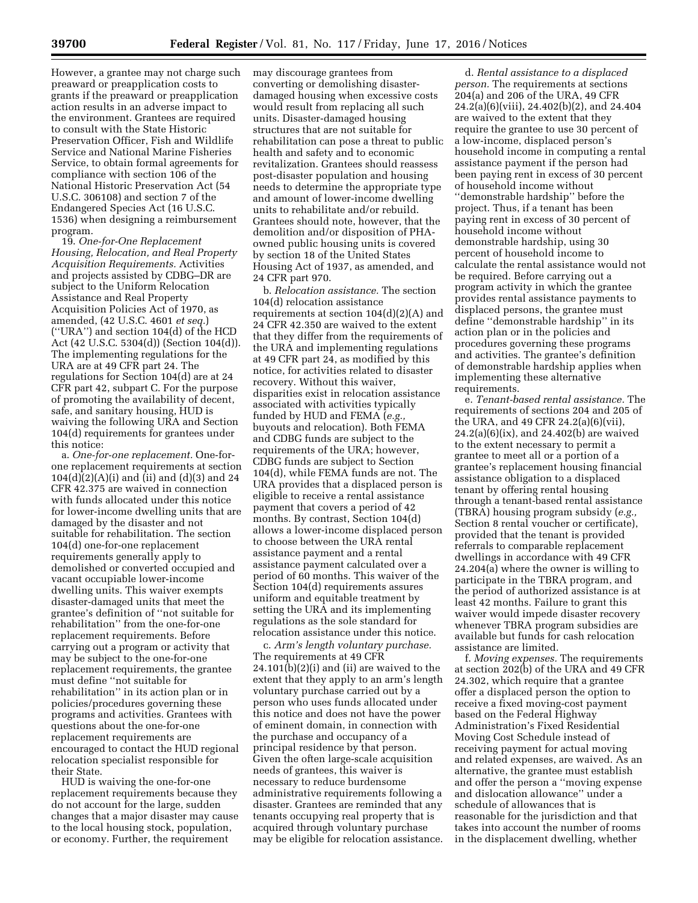However, a grantee may not charge such preaward or preapplication costs to grants if the preaward or preapplication action results in an adverse impact to the environment. Grantees are required to consult with the State Historic Preservation Officer, Fish and Wildlife Service and National Marine Fisheries Service, to obtain formal agreements for compliance with section 106 of the National Historic Preservation Act (54 U.S.C. 306108) and section 7 of the Endangered Species Act (16 U.S.C. 1536) when designing a reimbursement program.

19. *One-for-One Replacement Housing, Relocation, and Real Property Acquisition Requirements.* Activities and projects assisted by CDBG–DR are subject to the Uniform Relocation Assistance and Real Property Acquisition Policies Act of 1970, as amended, (42 U.S.C. 4601 *et seq.*) (''URA'') and section 104(d) of the HCD Act (42 U.S.C. 5304(d)) (Section 104(d)). The implementing regulations for the URA are at 49 CFR part 24. The regulations for Section 104(d) are at 24 CFR part 42, subpart C. For the purpose of promoting the availability of decent, safe, and sanitary housing, HUD is waiving the following URA and Section 104(d) requirements for grantees under this notice:

a. *One-for-one replacement.* One-forone replacement requirements at section  $104(d)(2)(A)(i)$  and (ii) and (d)(3) and 24 CFR 42.375 are waived in connection with funds allocated under this notice for lower-income dwelling units that are damaged by the disaster and not suitable for rehabilitation. The section 104(d) one-for-one replacement requirements generally apply to demolished or converted occupied and vacant occupiable lower-income dwelling units. This waiver exempts disaster-damaged units that meet the grantee's definition of ''not suitable for rehabilitation'' from the one-for-one replacement requirements. Before carrying out a program or activity that may be subject to the one-for-one replacement requirements, the grantee must define ''not suitable for rehabilitation'' in its action plan or in policies/procedures governing these programs and activities. Grantees with questions about the one-for-one replacement requirements are encouraged to contact the HUD regional relocation specialist responsible for their State.

HUD is waiving the one-for-one replacement requirements because they do not account for the large, sudden changes that a major disaster may cause to the local housing stock, population, or economy. Further, the requirement

may discourage grantees from converting or demolishing disasterdamaged housing when excessive costs would result from replacing all such units. Disaster-damaged housing structures that are not suitable for rehabilitation can pose a threat to public health and safety and to economic revitalization. Grantees should reassess post-disaster population and housing needs to determine the appropriate type and amount of lower-income dwelling units to rehabilitate and/or rebuild. Grantees should note, however, that the demolition and/or disposition of PHAowned public housing units is covered by section 18 of the United States Housing Act of 1937, as amended, and 24 CFR part 970.

b. *Relocation assistance.* The section 104(d) relocation assistance requirements at section 104(d)(2)(A) and 24 CFR 42.350 are waived to the extent that they differ from the requirements of the URA and implementing regulations at 49 CFR part 24, as modified by this notice, for activities related to disaster recovery. Without this waiver, disparities exist in relocation assistance associated with activities typically funded by HUD and FEMA (*e.g.,*  buyouts and relocation). Both FEMA and CDBG funds are subject to the requirements of the URA; however, CDBG funds are subject to Section 104(d), while FEMA funds are not. The URA provides that a displaced person is eligible to receive a rental assistance payment that covers a period of 42 months. By contrast, Section 104(d) allows a lower-income displaced person to choose between the URA rental assistance payment and a rental assistance payment calculated over a period of 60 months. This waiver of the Section 104(d) requirements assures uniform and equitable treatment by setting the URA and its implementing regulations as the sole standard for relocation assistance under this notice.

c. *Arm's length voluntary purchase.*  The requirements at 49 CFR 24.101(b)(2)(i) and (ii) are waived to the extent that they apply to an arm's length voluntary purchase carried out by a person who uses funds allocated under this notice and does not have the power of eminent domain, in connection with the purchase and occupancy of a principal residence by that person. Given the often large-scale acquisition needs of grantees, this waiver is necessary to reduce burdensome administrative requirements following a disaster. Grantees are reminded that any tenants occupying real property that is acquired through voluntary purchase may be eligible for relocation assistance.

d. *Rental assistance to a displaced person.* The requirements at sections 204(a) and 206 of the URA, 49 CFR 24.2(a)(6)(viii), 24.402(b)(2), and 24.404 are waived to the extent that they require the grantee to use 30 percent of a low-income, displaced person's household income in computing a rental assistance payment if the person had been paying rent in excess of 30 percent of household income without ''demonstrable hardship'' before the project. Thus, if a tenant has been paying rent in excess of 30 percent of household income without demonstrable hardship, using 30 percent of household income to calculate the rental assistance would not be required. Before carrying out a program activity in which the grantee provides rental assistance payments to displaced persons, the grantee must define ''demonstrable hardship'' in its action plan or in the policies and procedures governing these programs and activities. The grantee's definition of demonstrable hardship applies when implementing these alternative requirements.

e. *Tenant-based rental assistance.* The requirements of sections 204 and 205 of the URA, and 49 CFR 24.2(a)(6)(vii), 24.2(a)(6)(ix), and 24.402(b) are waived to the extent necessary to permit a grantee to meet all or a portion of a grantee's replacement housing financial assistance obligation to a displaced tenant by offering rental housing through a tenant-based rental assistance (TBRA) housing program subsidy (*e.g.,*  Section 8 rental voucher or certificate), provided that the tenant is provided referrals to comparable replacement dwellings in accordance with 49 CFR 24.204(a) where the owner is willing to participate in the TBRA program, and the period of authorized assistance is at least 42 months. Failure to grant this waiver would impede disaster recovery whenever TBRA program subsidies are available but funds for cash relocation assistance are limited.

f. *Moving expenses.* The requirements at section 202(b) of the URA and 49 CFR 24.302, which require that a grantee offer a displaced person the option to receive a fixed moving-cost payment based on the Federal Highway Administration's Fixed Residential Moving Cost Schedule instead of receiving payment for actual moving and related expenses, are waived. As an alternative, the grantee must establish and offer the person a ''moving expense and dislocation allowance'' under a schedule of allowances that is reasonable for the jurisdiction and that takes into account the number of rooms in the displacement dwelling, whether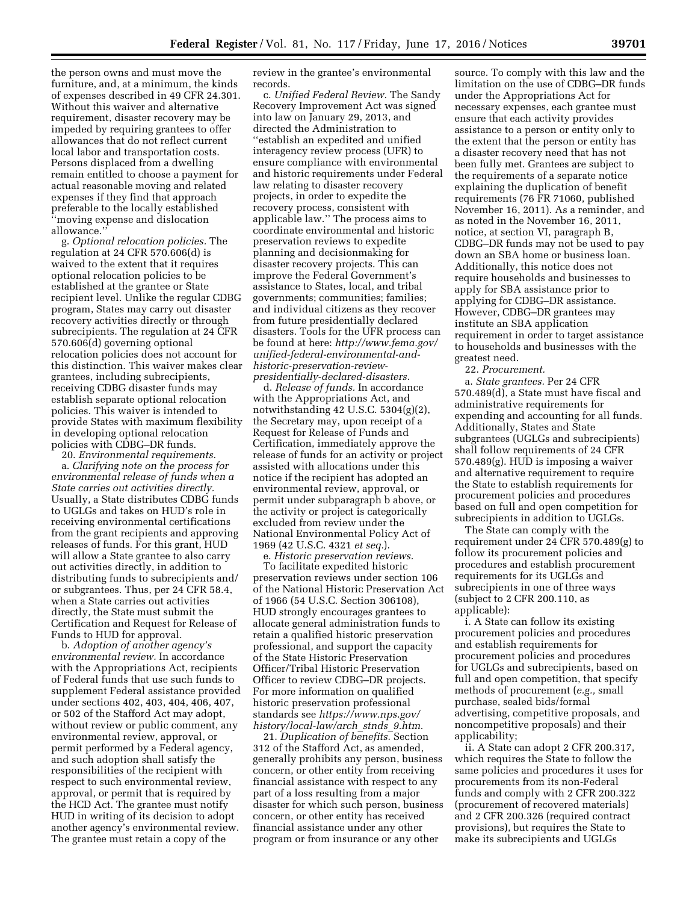the person owns and must move the furniture, and, at a minimum, the kinds of expenses described in 49 CFR 24.301. Without this waiver and alternative requirement, disaster recovery may be impeded by requiring grantees to offer allowances that do not reflect current local labor and transportation costs. Persons displaced from a dwelling remain entitled to choose a payment for actual reasonable moving and related expenses if they find that approach preferable to the locally established ''moving expense and dislocation allowance.''

g. *Optional relocation policies.* The regulation at 24 CFR 570.606(d) is waived to the extent that it requires optional relocation policies to be established at the grantee or State recipient level. Unlike the regular CDBG program, States may carry out disaster recovery activities directly or through subrecipients. The regulation at 24 CFR 570.606(d) governing optional relocation policies does not account for this distinction. This waiver makes clear grantees, including subrecipients, receiving CDBG disaster funds may establish separate optional relocation policies. This waiver is intended to provide States with maximum flexibility in developing optional relocation policies with CDBG–DR funds.

20. *Environmental requirements.* 

a. *Clarifying note on the process for environmental release of funds when a State carries out activities directly.*  Usually, a State distributes CDBG funds to UGLGs and takes on HUD's role in receiving environmental certifications from the grant recipients and approving releases of funds. For this grant, HUD will allow a State grantee to also carry out activities directly, in addition to distributing funds to subrecipients and/ or subgrantees. Thus, per 24 CFR 58.4, when a State carries out activities directly, the State must submit the Certification and Request for Release of Funds to HUD for approval.

b. *Adoption of another agency's environmental review.* In accordance with the Appropriations Act, recipients of Federal funds that use such funds to supplement Federal assistance provided under sections 402, 403, 404, 406, 407, or 502 of the Stafford Act may adopt, without review or public comment, any environmental review, approval, or permit performed by a Federal agency, and such adoption shall satisfy the responsibilities of the recipient with respect to such environmental review, approval, or permit that is required by the HCD Act. The grantee must notify HUD in writing of its decision to adopt another agency's environmental review. The grantee must retain a copy of the

review in the grantee's environmental records.

c. *Unified Federal Review.* The Sandy Recovery Improvement Act was signed into law on January 29, 2013, and directed the Administration to ''establish an expedited and unified interagency review process (UFR) to ensure compliance with environmental and historic requirements under Federal law relating to disaster recovery projects, in order to expedite the recovery process, consistent with applicable law.'' The process aims to coordinate environmental and historic preservation reviews to expedite planning and decisionmaking for disaster recovery projects. This can improve the Federal Government's assistance to States, local, and tribal governments; communities; families; and individual citizens as they recover from future presidentially declared disasters. Tools for the UFR process can be found at here: *[http://www.fema.gov/](http://www.fema.gov/unified-federal-environmental-and-historic-preservation-review-presidentially-declared-disasters) [unified-federal-environmental-and](http://www.fema.gov/unified-federal-environmental-and-historic-preservation-review-presidentially-declared-disasters)[historic-preservation-review](http://www.fema.gov/unified-federal-environmental-and-historic-preservation-review-presidentially-declared-disasters)[presidentially-declared-disasters.](http://www.fema.gov/unified-federal-environmental-and-historic-preservation-review-presidentially-declared-disasters)* 

d. *Release of funds.* In accordance with the Appropriations Act, and notwithstanding 42 U.S.C. 5304(g)(2), the Secretary may, upon receipt of a Request for Release of Funds and Certification, immediately approve the release of funds for an activity or project assisted with allocations under this notice if the recipient has adopted an environmental review, approval, or permit under subparagraph b above, or the activity or project is categorically excluded from review under the National Environmental Policy Act of 1969 (42 U.S.C. 4321 *et seq.*).

e. *Historic preservation reviews.*  To facilitate expedited historic preservation reviews under section 106 of the National Historic Preservation Act of 1966 (54 U.S.C. Section 306108), HUD strongly encourages grantees to allocate general administration funds to retain a qualified historic preservation professional, and support the capacity of the State Historic Preservation Officer/Tribal Historic Preservation Officer to review CDBG–DR projects. For more information on qualified historic preservation professional standards see *[https://www.nps.gov/](https://www.nps.gov/history/local-law/arch_stnds_9.htm) [history/local-law/arch](https://www.nps.gov/history/local-law/arch_stnds_9.htm)*\_*stnds*\_*9.htm.* 

21. *Duplication of benefits.* Section 312 of the Stafford Act, as amended, generally prohibits any person, business concern, or other entity from receiving financial assistance with respect to any part of a loss resulting from a major disaster for which such person, business concern, or other entity has received financial assistance under any other program or from insurance or any other

source. To comply with this law and the limitation on the use of CDBG–DR funds under the Appropriations Act for necessary expenses, each grantee must ensure that each activity provides assistance to a person or entity only to the extent that the person or entity has a disaster recovery need that has not been fully met. Grantees are subject to the requirements of a separate notice explaining the duplication of benefit requirements (76 FR 71060, published November 16, 2011). As a reminder, and as noted in the November 16, 2011, notice, at section VI, paragraph B, CDBG–DR funds may not be used to pay down an SBA home or business loan. Additionally, this notice does not require households and businesses to apply for SBA assistance prior to applying for CDBG–DR assistance. However, CDBG–DR grantees may institute an SBA application requirement in order to target assistance to households and businesses with the greatest need.

22. *Procurement.* 

a. *State grantees.* Per 24 CFR 570.489(d), a State must have fiscal and administrative requirements for expending and accounting for all funds. Additionally, States and State subgrantees (UGLGs and subrecipients) shall follow requirements of 24 CFR 570.489(g). HUD is imposing a waiver and alternative requirement to require the State to establish requirements for procurement policies and procedures based on full and open competition for subrecipients in addition to UGLGs.

The State can comply with the requirement under 24 CFR 570.489(g) to follow its procurement policies and procedures and establish procurement requirements for its UGLGs and subrecipients in one of three ways (subject to 2 CFR 200.110, as applicable):

i. A State can follow its existing procurement policies and procedures and establish requirements for procurement policies and procedures for UGLGs and subrecipients, based on full and open competition, that specify methods of procurement (*e.g.,* small purchase, sealed bids/formal advertising, competitive proposals, and noncompetitive proposals) and their applicability;

ii. A State can adopt 2 CFR 200.317, which requires the State to follow the same policies and procedures it uses for procurements from its non-Federal funds and comply with 2 CFR 200.322 (procurement of recovered materials) and 2 CFR 200.326 (required contract provisions), but requires the State to make its subrecipients and UGLGs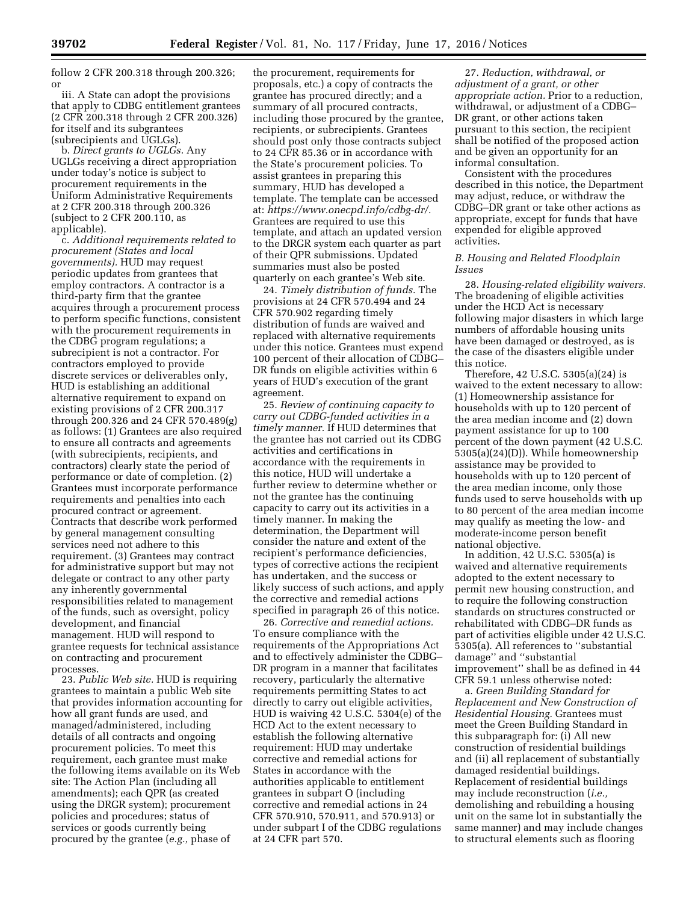follow 2 CFR 200.318 through 200.326; or

iii. A State can adopt the provisions that apply to CDBG entitlement grantees (2 CFR 200.318 through 2 CFR 200.326) for itself and its subgrantees (subrecipients and UGLGs).

b. *Direct grants to UGLGs.* Any UGLGs receiving a direct appropriation under today's notice is subject to procurement requirements in the Uniform Administrative Requirements at 2 CFR 200.318 through 200.326 (subject to 2 CFR 200.110, as applicable).

c. *Additional requirements related to procurement (States and local governments).* HUD may request periodic updates from grantees that employ contractors. A contractor is a third-party firm that the grantee acquires through a procurement process to perform specific functions, consistent with the procurement requirements in the CDBG program regulations; a subrecipient is not a contractor. For contractors employed to provide discrete services or deliverables only, HUD is establishing an additional alternative requirement to expand on existing provisions of 2 CFR 200.317 through 200.326 and 24 CFR 570.489(g) as follows: (1) Grantees are also required to ensure all contracts and agreements (with subrecipients, recipients, and contractors) clearly state the period of performance or date of completion. (2) Grantees must incorporate performance requirements and penalties into each procured contract or agreement. Contracts that describe work performed by general management consulting services need not adhere to this requirement. (3) Grantees may contract for administrative support but may not delegate or contract to any other party any inherently governmental responsibilities related to management of the funds, such as oversight, policy development, and financial management. HUD will respond to grantee requests for technical assistance on contracting and procurement processes.

23. *Public Web site.* HUD is requiring grantees to maintain a public Web site that provides information accounting for how all grant funds are used, and managed/administered, including details of all contracts and ongoing procurement policies. To meet this requirement, each grantee must make the following items available on its Web site: The Action Plan (including all amendments); each QPR (as created using the DRGR system); procurement policies and procedures; status of services or goods currently being procured by the grantee (*e.g.,* phase of

the procurement, requirements for proposals, etc.) a copy of contracts the grantee has procured directly; and a summary of all procured contracts, including those procured by the grantee, recipients, or subrecipients. Grantees should post only those contracts subject to 24 CFR 85.36 or in accordance with the State's procurement policies. To assist grantees in preparing this summary, HUD has developed a template. The template can be accessed at: *[https://www.onecpd.info/cdbg-dr/.](https://www.onecpd.info/cdbg-dr/)*  Grantees are required to use this template, and attach an updated version to the DRGR system each quarter as part of their QPR submissions. Updated summaries must also be posted quarterly on each grantee's Web site.

24. *Timely distribution of funds.* The provisions at 24 CFR 570.494 and 24 CFR 570.902 regarding timely distribution of funds are waived and replaced with alternative requirements under this notice. Grantees must expend 100 percent of their allocation of CDBG– DR funds on eligible activities within 6 years of HUD's execution of the grant agreement.

25. *Review of continuing capacity to carry out CDBG-funded activities in a timely manner.* If HUD determines that the grantee has not carried out its CDBG activities and certifications in accordance with the requirements in this notice, HUD will undertake a further review to determine whether or not the grantee has the continuing capacity to carry out its activities in a timely manner. In making the determination, the Department will consider the nature and extent of the recipient's performance deficiencies, types of corrective actions the recipient has undertaken, and the success or likely success of such actions, and apply the corrective and remedial actions specified in paragraph 26 of this notice.

26. *Corrective and remedial actions.*  To ensure compliance with the requirements of the Appropriations Act and to effectively administer the CDBG– DR program in a manner that facilitates recovery, particularly the alternative requirements permitting States to act directly to carry out eligible activities, HUD is waiving 42 U.S.C. 5304(e) of the HCD Act to the extent necessary to establish the following alternative requirement: HUD may undertake corrective and remedial actions for States in accordance with the authorities applicable to entitlement grantees in subpart O (including corrective and remedial actions in 24 CFR 570.910, 570.911, and 570.913) or under subpart I of the CDBG regulations at 24 CFR part 570.

27. *Reduction, withdrawal, or adjustment of a grant, or other appropriate action.* Prior to a reduction, withdrawal, or adjustment of a CDBG– DR grant, or other actions taken pursuant to this section, the recipient shall be notified of the proposed action and be given an opportunity for an informal consultation.

Consistent with the procedures described in this notice, the Department may adjust, reduce, or withdraw the CDBG–DR grant or take other actions as appropriate, except for funds that have expended for eligible approved activities.

## *B. Housing and Related Floodplain Issues*

28. *Housing-related eligibility waivers.*  The broadening of eligible activities under the HCD Act is necessary following major disasters in which large numbers of affordable housing units have been damaged or destroyed, as is the case of the disasters eligible under this notice.

Therefore, 42 U.S.C. 5305(a)(24) is waived to the extent necessary to allow: (1) Homeownership assistance for households with up to 120 percent of the area median income and (2) down payment assistance for up to 100 percent of the down payment (42 U.S.C. 5305(a)(24)(D)). While homeownership assistance may be provided to households with up to 120 percent of the area median income, only those funds used to serve households with up to 80 percent of the area median income may qualify as meeting the low- and moderate-income person benefit national objective.

In addition, 42 U.S.C. 5305(a) is waived and alternative requirements adopted to the extent necessary to permit new housing construction, and to require the following construction standards on structures constructed or rehabilitated with CDBG–DR funds as part of activities eligible under 42 U.S.C. 5305(a). All references to ''substantial damage'' and ''substantial improvement'' shall be as defined in 44 CFR 59.1 unless otherwise noted:

a. *Green Building Standard for Replacement and New Construction of Residential Housing.* Grantees must meet the Green Building Standard in this subparagraph for: (i) All new construction of residential buildings and (ii) all replacement of substantially damaged residential buildings. Replacement of residential buildings may include reconstruction (*i.e.,*  demolishing and rebuilding a housing unit on the same lot in substantially the same manner) and may include changes to structural elements such as flooring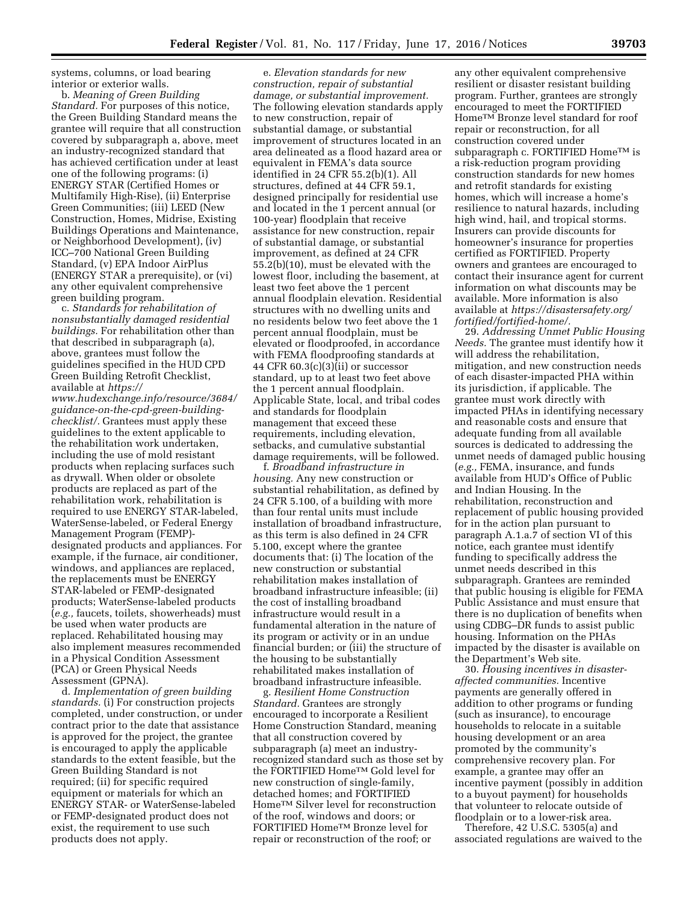systems, columns, or load bearing interior or exterior walls.

b. *Meaning of Green Building Standard.* For purposes of this notice, the Green Building Standard means the grantee will require that all construction covered by subparagraph a, above, meet an industry-recognized standard that has achieved certification under at least one of the following programs: (i) ENERGY STAR (Certified Homes or Multifamily High-Rise), (ii) Enterprise Green Communities; (iii) LEED (New Construction, Homes, Midrise, Existing Buildings Operations and Maintenance, or Neighborhood Development), (iv) ICC–700 National Green Building Standard, (v) EPA Indoor AirPlus (ENERGY STAR a prerequisite), or (vi) any other equivalent comprehensive green building program.

c. *Standards for rehabilitation of nonsubstantially damaged residential buildings.* For rehabilitation other than that described in subparagraph (a), above, grantees must follow the guidelines specified in the HUD CPD Green Building Retrofit Checklist, available at *[https://](https://www.hudexchange.info/resource/3684/guidance-on-the-cpd-green-building-checklist/)*

*[www.hudexchange.info/resource/3684/](https://www.hudexchange.info/resource/3684/guidance-on-the-cpd-green-building-checklist/) [guidance-on-the-cpd-green-building](https://www.hudexchange.info/resource/3684/guidance-on-the-cpd-green-building-checklist/)[checklist/.](https://www.hudexchange.info/resource/3684/guidance-on-the-cpd-green-building-checklist/)* Grantees must apply these guidelines to the extent applicable to the rehabilitation work undertaken, including the use of mold resistant products when replacing surfaces such as drywall. When older or obsolete products are replaced as part of the rehabilitation work, rehabilitation is required to use ENERGY STAR-labeled, WaterSense-labeled, or Federal Energy Management Program (FEMP) designated products and appliances. For example, if the furnace, air conditioner, windows, and appliances are replaced, the replacements must be ENERGY STAR-labeled or FEMP-designated products; WaterSense-labeled products (*e.g.,* faucets, toilets, showerheads) must be used when water products are replaced. Rehabilitated housing may also implement measures recommended in a Physical Condition Assessment (PCA) or Green Physical Needs Assessment (GPNA).

d. *Implementation of green building standards.* (i) For construction projects completed, under construction, or under contract prior to the date that assistance is approved for the project, the grantee is encouraged to apply the applicable standards to the extent feasible, but the Green Building Standard is not required; (ii) for specific required equipment or materials for which an ENERGY STAR- or WaterSense-labeled or FEMP-designated product does not exist, the requirement to use such products does not apply.

e. *Elevation standards for new construction, repair of substantial damage, or substantial improvement.*  The following elevation standards apply to new construction, repair of substantial damage, or substantial improvement of structures located in an area delineated as a flood hazard area or equivalent in FEMA's data source identified in 24 CFR 55.2(b)(1). All structures, defined at 44 CFR 59.1, designed principally for residential use and located in the 1 percent annual (or 100-year) floodplain that receive assistance for new construction, repair of substantial damage, or substantial improvement, as defined at 24 CFR 55.2(b)(10), must be elevated with the lowest floor, including the basement, at least two feet above the 1 percent annual floodplain elevation. Residential structures with no dwelling units and no residents below two feet above the 1 percent annual floodplain, must be elevated or floodproofed, in accordance with FEMA floodproofing standards at 44 CFR  $60.3(c)(3)(ii)$  or successor standard, up to at least two feet above the 1 percent annual floodplain. Applicable State, local, and tribal codes and standards for floodplain management that exceed these requirements, including elevation, setbacks, and cumulative substantial damage requirements, will be followed.

f. *Broadband infrastructure in housing.* Any new construction or substantial rehabilitation, as defined by 24 CFR 5.100, of a building with more than four rental units must include installation of broadband infrastructure, as this term is also defined in 24 CFR 5.100, except where the grantee documents that: (i) The location of the new construction or substantial rehabilitation makes installation of broadband infrastructure infeasible; (ii) the cost of installing broadband infrastructure would result in a fundamental alteration in the nature of its program or activity or in an undue financial burden; or (iii) the structure of the housing to be substantially rehabilitated makes installation of broadband infrastructure infeasible.

g. *Resilient Home Construction Standard.* Grantees are strongly encouraged to incorporate a Resilient Home Construction Standard, meaning that all construction covered by subparagraph (a) meet an industryrecognized standard such as those set by the FORTIFIED HomeTM Gold level for new construction of single-family, detached homes; and FORTIFIED HomeTM Silver level for reconstruction of the roof, windows and doors; or FORTIFIED HomeTM Bronze level for repair or reconstruction of the roof; or

any other equivalent comprehensive resilient or disaster resistant building program. Further, grantees are strongly encouraged to meet the FORTIFIED Home<sup>TM</sup> Bronze level standard for roof repair or reconstruction, for all construction covered under subparagraph c. FORTIFIED Home™ is a risk-reduction program providing construction standards for new homes and retrofit standards for existing homes, which will increase a home's resilience to natural hazards, including high wind, hail, and tropical storms. Insurers can provide discounts for homeowner's insurance for properties certified as FORTIFIED. Property owners and grantees are encouraged to contact their insurance agent for current information on what discounts may be available. More information is also available at *[https://disastersafety.org/](https://disastersafety.org/fortified/fortified-home/) [fortified/fortified-home/.](https://disastersafety.org/fortified/fortified-home/)* 

29. *Addressing Unmet Public Housing Needs.* The grantee must identify how it will address the rehabilitation, mitigation, and new construction needs of each disaster-impacted PHA within its jurisdiction, if applicable. The grantee must work directly with impacted PHAs in identifying necessary and reasonable costs and ensure that adequate funding from all available sources is dedicated to addressing the unmet needs of damaged public housing (*e.g.,* FEMA, insurance, and funds available from HUD's Office of Public and Indian Housing. In the rehabilitation, reconstruction and replacement of public housing provided for in the action plan pursuant to paragraph A.1.a.7 of section VI of this notice, each grantee must identify funding to specifically address the unmet needs described in this subparagraph. Grantees are reminded that public housing is eligible for FEMA Public Assistance and must ensure that there is no duplication of benefits when using CDBG–DR funds to assist public housing. Information on the PHAs impacted by the disaster is available on the Department's Web site*.* 

30. *Housing incentives in disasteraffected communities.* Incentive payments are generally offered in addition to other programs or funding (such as insurance), to encourage households to relocate in a suitable housing development or an area promoted by the community's comprehensive recovery plan. For example, a grantee may offer an incentive payment (possibly in addition to a buyout payment) for households that volunteer to relocate outside of floodplain or to a lower-risk area.

Therefore, 42 U.S.C. 5305(a) and associated regulations are waived to the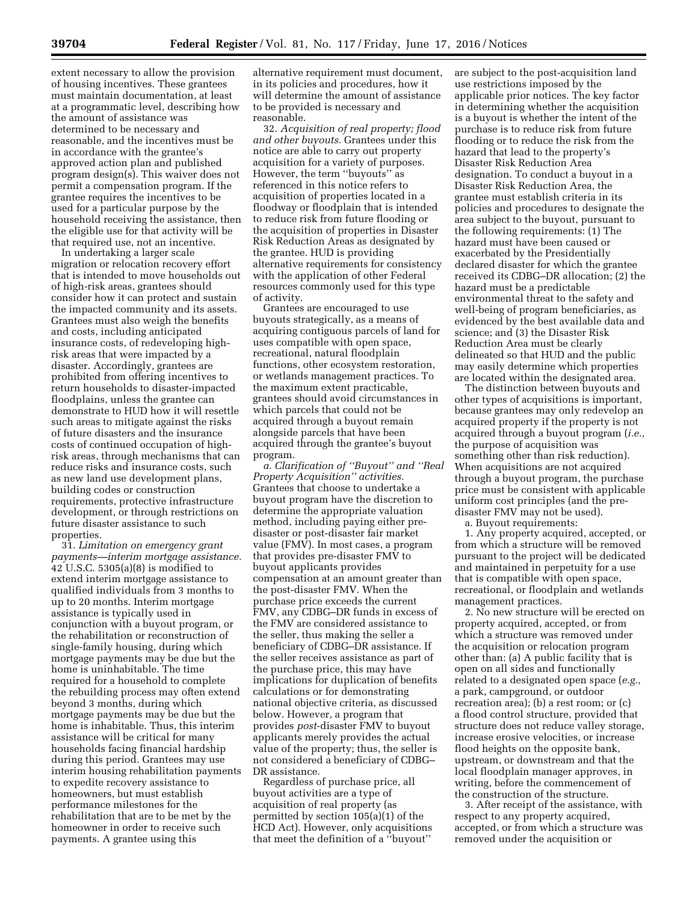extent necessary to allow the provision of housing incentives. These grantees must maintain documentation, at least at a programmatic level, describing how the amount of assistance was determined to be necessary and reasonable, and the incentives must be in accordance with the grantee's approved action plan and published program design(s). This waiver does not permit a compensation program. If the grantee requires the incentives to be used for a particular purpose by the household receiving the assistance, then the eligible use for that activity will be that required use, not an incentive.

In undertaking a larger scale migration or relocation recovery effort that is intended to move households out of high-risk areas, grantees should consider how it can protect and sustain the impacted community and its assets. Grantees must also weigh the benefits and costs, including anticipated insurance costs, of redeveloping highrisk areas that were impacted by a disaster. Accordingly, grantees are prohibited from offering incentives to return households to disaster-impacted floodplains, unless the grantee can demonstrate to HUD how it will resettle such areas to mitigate against the risks of future disasters and the insurance costs of continued occupation of highrisk areas, through mechanisms that can reduce risks and insurance costs, such as new land use development plans, building codes or construction requirements, protective infrastructure development, or through restrictions on future disaster assistance to such properties.

31. *Limitation on emergency grant payments—interim mortgage assistance.*  42 U.S.C. 5305(a)(8) is modified to extend interim mortgage assistance to qualified individuals from 3 months to up to 20 months. Interim mortgage assistance is typically used in conjunction with a buyout program, or the rehabilitation or reconstruction of single-family housing, during which mortgage payments may be due but the home is uninhabitable. The time required for a household to complete the rebuilding process may often extend beyond 3 months, during which mortgage payments may be due but the home is inhabitable. Thus, this interim assistance will be critical for many households facing financial hardship during this period. Grantees may use interim housing rehabilitation payments to expedite recovery assistance to homeowners, but must establish performance milestones for the rehabilitation that are to be met by the homeowner in order to receive such payments. A grantee using this

alternative requirement must document, in its policies and procedures, how it will determine the amount of assistance to be provided is necessary and reasonable.

32. *Acquisition of real property; flood and other buyouts.* Grantees under this notice are able to carry out property acquisition for a variety of purposes. However, the term ''buyouts'' as referenced in this notice refers to acquisition of properties located in a floodway or floodplain that is intended to reduce risk from future flooding or the acquisition of properties in Disaster Risk Reduction Areas as designated by the grantee. HUD is providing alternative requirements for consistency with the application of other Federal resources commonly used for this type of activity.

Grantees are encouraged to use buyouts strategically, as a means of acquiring contiguous parcels of land for uses compatible with open space, recreational, natural floodplain functions, other ecosystem restoration, or wetlands management practices. To the maximum extent practicable, grantees should avoid circumstances in which parcels that could not be acquired through a buyout remain alongside parcels that have been acquired through the grantee's buyout program.

*a. Clarification of ''Buyout'' and ''Real Property Acquisition'' activities.*  Grantees that choose to undertake a buyout program have the discretion to determine the appropriate valuation method, including paying either predisaster or post-disaster fair market value (FMV). In most cases, a program that provides pre-disaster FMV to buyout applicants provides compensation at an amount greater than the post-disaster FMV. When the purchase price exceeds the current FMV, any CDBG–DR funds in excess of the FMV are considered assistance to the seller, thus making the seller a beneficiary of CDBG–DR assistance. If the seller receives assistance as part of the purchase price, this may have implications for duplication of benefits calculations or for demonstrating national objective criteria, as discussed below. However, a program that provides *post*-disaster FMV to buyout applicants merely provides the actual value of the property; thus, the seller is not considered a beneficiary of CDBG– DR assistance.

Regardless of purchase price, all buyout activities are a type of acquisition of real property (as permitted by section 105(a)(1) of the HCD Act). However, only acquisitions that meet the definition of a ''buyout''

are subject to the post-acquisition land use restrictions imposed by the applicable prior notices. The key factor in determining whether the acquisition is a buyout is whether the intent of the purchase is to reduce risk from future flooding or to reduce the risk from the hazard that lead to the property's Disaster Risk Reduction Area designation. To conduct a buyout in a Disaster Risk Reduction Area, the grantee must establish criteria in its policies and procedures to designate the area subject to the buyout, pursuant to the following requirements: (1) The hazard must have been caused or exacerbated by the Presidentially declared disaster for which the grantee received its CDBG–DR allocation; (2) the hazard must be a predictable environmental threat to the safety and well-being of program beneficiaries, as evidenced by the best available data and science; and (3) the Disaster Risk Reduction Area must be clearly delineated so that HUD and the public may easily determine which properties are located within the designated area.

The distinction between buyouts and other types of acquisitions is important, because grantees may only redevelop an acquired property if the property is not acquired through a buyout program (*i.e.,*  the purpose of acquisition was something other than risk reduction). When acquisitions are not acquired through a buyout program, the purchase price must be consistent with applicable uniform cost principles (and the predisaster FMV may not be used).

a. Buyout requirements:

1. Any property acquired, accepted, or from which a structure will be removed pursuant to the project will be dedicated and maintained in perpetuity for a use that is compatible with open space, recreational, or floodplain and wetlands management practices.

2. No new structure will be erected on property acquired, accepted, or from which a structure was removed under the acquisition or relocation program other than: (a) A public facility that is open on all sides and functionally related to a designated open space (*e.g.,*  a park, campground, or outdoor recreation area); (b) a rest room; or (c) a flood control structure, provided that structure does not reduce valley storage, increase erosive velocities, or increase flood heights on the opposite bank, upstream, or downstream and that the local floodplain manager approves, in writing, before the commencement of the construction of the structure.

3. After receipt of the assistance, with respect to any property acquired, accepted, or from which a structure was removed under the acquisition or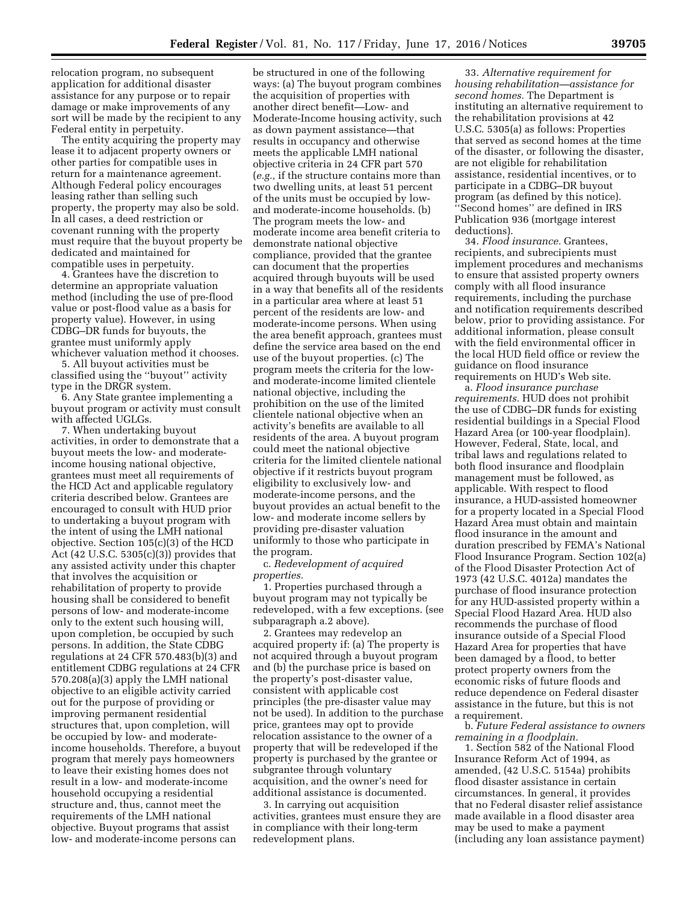relocation program, no subsequent application for additional disaster assistance for any purpose or to repair damage or make improvements of any sort will be made by the recipient to any Federal entity in perpetuity.

The entity acquiring the property may lease it to adjacent property owners or other parties for compatible uses in return for a maintenance agreement. Although Federal policy encourages leasing rather than selling such property, the property may also be sold. In all cases, a deed restriction or covenant running with the property must require that the buyout property be dedicated and maintained for compatible uses in perpetuity.

4. Grantees have the discretion to determine an appropriate valuation method (including the use of pre-flood value or post-flood value as a basis for property value). However, in using CDBG–DR funds for buyouts, the grantee must uniformly apply whichever valuation method it chooses.

5. All buyout activities must be classified using the ''buyout'' activity type in the DRGR system.

6. Any State grantee implementing a buyout program or activity must consult with affected UGLGs.

7. When undertaking buyout activities, in order to demonstrate that a buyout meets the low- and moderateincome housing national objective, grantees must meet all requirements of the HCD Act and applicable regulatory criteria described below. Grantees are encouraged to consult with HUD prior to undertaking a buyout program with the intent of using the LMH national objective. Section 105(c)(3) of the HCD Act (42 U.S.C. 5305(c)(3)) provides that any assisted activity under this chapter that involves the acquisition or rehabilitation of property to provide housing shall be considered to benefit persons of low- and moderate-income only to the extent such housing will, upon completion, be occupied by such persons. In addition, the State CDBG regulations at 24 CFR 570.483(b)(3) and entitlement CDBG regulations at 24 CFR 570.208(a)(3) apply the LMH national objective to an eligible activity carried out for the purpose of providing or improving permanent residential structures that, upon completion, will be occupied by low- and moderateincome households. Therefore, a buyout program that merely pays homeowners to leave their existing homes does not result in a low- and moderate-income household occupying a residential structure and, thus, cannot meet the requirements of the LMH national objective. Buyout programs that assist low- and moderate-income persons can

be structured in one of the following ways: (a) The buyout program combines the acquisition of properties with another direct benefit—Low- and Moderate-Income housing activity, such as down payment assistance—that results in occupancy and otherwise meets the applicable LMH national objective criteria in 24 CFR part 570 (*e.g.,* if the structure contains more than two dwelling units, at least 51 percent of the units must be occupied by lowand moderate-income households. (b) The program meets the low- and moderate income area benefit criteria to demonstrate national objective compliance, provided that the grantee can document that the properties acquired through buyouts will be used in a way that benefits all of the residents in a particular area where at least 51 percent of the residents are low- and moderate-income persons. When using the area benefit approach, grantees must define the service area based on the end use of the buyout properties. (c) The program meets the criteria for the lowand moderate-income limited clientele national objective, including the prohibition on the use of the limited clientele national objective when an activity's benefits are available to all residents of the area. A buyout program could meet the national objective criteria for the limited clientele national objective if it restricts buyout program eligibility to exclusively low- and moderate-income persons, and the buyout provides an actual benefit to the low- and moderate income sellers by providing pre-disaster valuation uniformly to those who participate in the program.

c. *Redevelopment of acquired properties.* 

1. Properties purchased through a buyout program may not typically be redeveloped, with a few exceptions. (see subparagraph a.2 above).

2. Grantees may redevelop an acquired property if: (a) The property is not acquired through a buyout program and (b) the purchase price is based on the property's post-disaster value, consistent with applicable cost principles (the pre-disaster value may not be used). In addition to the purchase price, grantees may opt to provide relocation assistance to the owner of a property that will be redeveloped if the property is purchased by the grantee or subgrantee through voluntary acquisition, and the owner's need for additional assistance is documented.

3. In carrying out acquisition activities, grantees must ensure they are in compliance with their long-term redevelopment plans.

33. *Alternative requirement for housing rehabilitation—assistance for second homes.* The Department is instituting an alternative requirement to the rehabilitation provisions at 42 U.S.C. 5305(a) as follows: Properties that served as second homes at the time of the disaster, or following the disaster, are not eligible for rehabilitation assistance, residential incentives, or to participate in a CDBG–DR buyout program (as defined by this notice). ''Second homes'' are defined in IRS Publication 936 (mortgage interest deductions).

34. *Flood insurance.* Grantees, recipients, and subrecipients must implement procedures and mechanisms to ensure that assisted property owners comply with all flood insurance requirements, including the purchase and notification requirements described below, prior to providing assistance. For additional information, please consult with the field environmental officer in the local HUD field office or review the guidance on flood insurance requirements on HUD's Web site.

a. *Flood insurance purchase requirements.* HUD does not prohibit the use of CDBG–DR funds for existing residential buildings in a Special Flood Hazard Area (or 100-year floodplain). However, Federal, State, local, and tribal laws and regulations related to both flood insurance and floodplain management must be followed, as applicable. With respect to flood insurance, a HUD-assisted homeowner for a property located in a Special Flood Hazard Area must obtain and maintain flood insurance in the amount and duration prescribed by FEMA's National Flood Insurance Program. Section 102(a) of the Flood Disaster Protection Act of 1973 (42 U.S.C. 4012a) mandates the purchase of flood insurance protection for any HUD-assisted property within a Special Flood Hazard Area. HUD also recommends the purchase of flood insurance outside of a Special Flood Hazard Area for properties that have been damaged by a flood, to better protect property owners from the economic risks of future floods and reduce dependence on Federal disaster assistance in the future, but this is not a requirement.

b. *Future Federal assistance to owners remaining in a floodplain.* 

1. Section 582 of the National Flood Insurance Reform Act of 1994, as amended, (42 U.S.C. 5154a) prohibits flood disaster assistance in certain circumstances. In general, it provides that no Federal disaster relief assistance made available in a flood disaster area may be used to make a payment (including any loan assistance payment)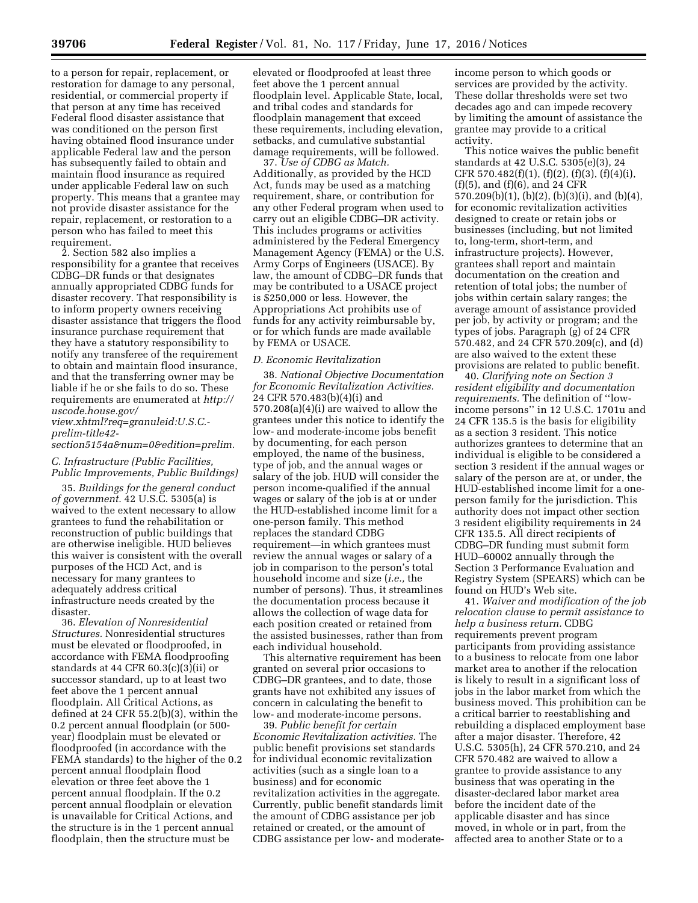to a person for repair, replacement, or restoration for damage to any personal, residential, or commercial property if that person at any time has received Federal flood disaster assistance that was conditioned on the person first having obtained flood insurance under applicable Federal law and the person has subsequently failed to obtain and maintain flood insurance as required under applicable Federal law on such property. This means that a grantee may not provide disaster assistance for the repair, replacement, or restoration to a person who has failed to meet this requirement.

2. Section 582 also implies a responsibility for a grantee that receives CDBG–DR funds or that designates annually appropriated CDBG funds for disaster recovery. That responsibility is to inform property owners receiving disaster assistance that triggers the flood insurance purchase requirement that they have a statutory responsibility to notify any transferee of the requirement to obtain and maintain flood insurance, and that the transferring owner may be liable if he or she fails to do so. These requirements are enumerated at *[http://](http://uscode.house.gov/view.xhtml?req=granuleid:USC-prelim-title42-section5154&num=0&edition=prelim) [uscode.house.gov/](http://uscode.house.gov/view.xhtml?req=granuleid:USC-prelim-title42-section5154&num=0&edition=prelim)*

*[view.xhtml?req=granuleid:U.S.C.](http://uscode.house.gov/view.xhtml?req=granuleid:USC-prelim-title42-section5154&num=0&edition=prelim) [prelim-title42-](http://uscode.house.gov/view.xhtml?req=granuleid:USC-prelim-title42-section5154&num=0&edition=prelim)* 

*[section5154a&num=0&edition=prelim.](http://uscode.house.gov/view.xhtml?req=granuleid:USC-prelim-title42-section5154&num=0&edition=prelim)* 

# *C. Infrastructure (Public Facilities, Public Improvements, Public Buildings)*

35. *Buildings for the general conduct of government.* 42 U.S.C. 5305(a) is waived to the extent necessary to allow grantees to fund the rehabilitation or reconstruction of public buildings that are otherwise ineligible. HUD believes this waiver is consistent with the overall purposes of the HCD Act, and is necessary for many grantees to adequately address critical infrastructure needs created by the disaster.

36. *Elevation of Nonresidential Structures.* Nonresidential structures must be elevated or floodproofed, in accordance with FEMA floodproofing standards at 44 CFR 60.3(c)(3)(ii) or successor standard, up to at least two feet above the 1 percent annual floodplain. All Critical Actions, as defined at 24 CFR 55.2(b)(3), within the 0.2 percent annual floodplain (or 500 year) floodplain must be elevated or floodproofed (in accordance with the FEMA standards) to the higher of the 0.2 percent annual floodplain flood elevation or three feet above the 1 percent annual floodplain. If the 0.2 percent annual floodplain or elevation is unavailable for Critical Actions, and the structure is in the 1 percent annual floodplain, then the structure must be

elevated or floodproofed at least three feet above the 1 percent annual floodplain level. Applicable State, local, and tribal codes and standards for floodplain management that exceed these requirements, including elevation, setbacks, and cumulative substantial damage requirements, will be followed.

37. *Use of CDBG as Match.*  Additionally, as provided by the HCD Act, funds may be used as a matching requirement, share, or contribution for any other Federal program when used to carry out an eligible CDBG–DR activity. This includes programs or activities administered by the Federal Emergency Management Agency (FEMA) or the U.S. Army Corps of Engineers (USACE). By law, the amount of CDBG–DR funds that may be contributed to a USACE project is \$250,000 or less. However, the Appropriations Act prohibits use of funds for any activity reimbursable by, or for which funds are made available by FEMA or USACE.

#### *D. Economic Revitalization*

38. *National Objective Documentation for Economic Revitalization Activities.*  24 CFR 570.483(b)(4)(i) and 570.208(a)(4)(i) are waived to allow the grantees under this notice to identify the low- and moderate-income jobs benefit by documenting, for each person employed, the name of the business, type of job, and the annual wages or salary of the job. HUD will consider the person income-qualified if the annual wages or salary of the job is at or under the HUD-established income limit for a one-person family. This method replaces the standard CDBG requirement—in which grantees must review the annual wages or salary of a job in comparison to the person's total household income and size (*i.e.,* the number of persons). Thus, it streamlines the documentation process because it allows the collection of wage data for each position created or retained from the assisted businesses, rather than from each individual household.

This alternative requirement has been granted on several prior occasions to CDBG–DR grantees, and to date, those grants have not exhibited any issues of concern in calculating the benefit to low- and moderate-income persons.

39. *Public benefit for certain Economic Revitalization activities.* The public benefit provisions set standards for individual economic revitalization activities (such as a single loan to a business) and for economic revitalization activities in the aggregate. Currently, public benefit standards limit the amount of CDBG assistance per job retained or created, or the amount of CDBG assistance per low- and moderate-

income person to which goods or services are provided by the activity. These dollar thresholds were set two decades ago and can impede recovery by limiting the amount of assistance the grantee may provide to a critical activity.

This notice waives the public benefit standards at 42 U.S.C. 5305(e)(3), 24 CFR 570.482(f)(1), (f)(2), (f)(3), (f)(4)(i), (f)(5), and (f)(6), and 24 CFR 570.209(b)(1), (b)(2), (b)(3)(i), and (b)(4), for economic revitalization activities designed to create or retain jobs or businesses (including, but not limited to, long-term, short-term, and infrastructure projects). However, grantees shall report and maintain documentation on the creation and retention of total jobs; the number of jobs within certain salary ranges; the average amount of assistance provided per job, by activity or program; and the types of jobs. Paragraph (g) of 24 CFR 570.482, and 24 CFR 570.209(c), and (d) are also waived to the extent these provisions are related to public benefit.

40. *Clarifying note on Section 3 resident eligibility and documentation requirements.* The definition of ''lowincome persons'' in 12 U.S.C. 1701u and 24 CFR 135.5 is the basis for eligibility as a section 3 resident. This notice authorizes grantees to determine that an individual is eligible to be considered a section 3 resident if the annual wages or salary of the person are at, or under, the HUD-established income limit for a oneperson family for the jurisdiction. This authority does not impact other section 3 resident eligibility requirements in 24 CFR 135.5. All direct recipients of CDBG–DR funding must submit form HUD–60002 annually through the Section 3 Performance Evaluation and Registry System (SPEARS) which can be found on HUD's Web site.

41. *Waiver and modification of the job relocation clause to permit assistance to help a business return.* CDBG requirements prevent program participants from providing assistance to a business to relocate from one labor market area to another if the relocation is likely to result in a significant loss of jobs in the labor market from which the business moved. This prohibition can be a critical barrier to reestablishing and rebuilding a displaced employment base after a major disaster. Therefore, 42 U.S.C. 5305(h), 24 CFR 570.210, and 24 CFR 570.482 are waived to allow a grantee to provide assistance to any business that was operating in the disaster-declared labor market area before the incident date of the applicable disaster and has since moved, in whole or in part, from the affected area to another State or to a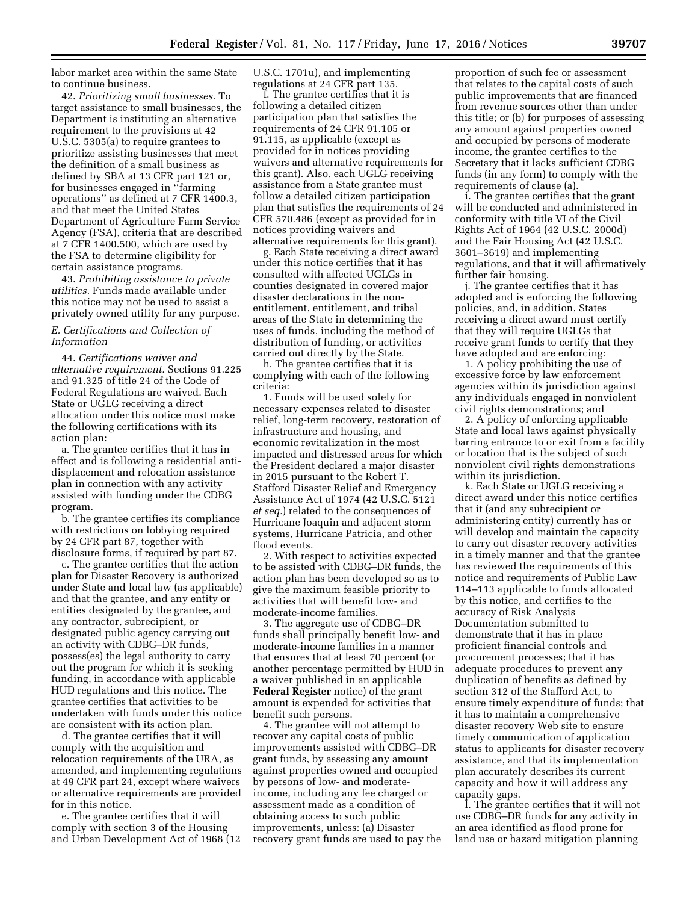labor market area within the same State to continue business.

42. *Prioritizing small businesses.* To target assistance to small businesses, the Department is instituting an alternative requirement to the provisions at 42 U.S.C. 5305(a) to require grantees to prioritize assisting businesses that meet the definition of a small business as defined by SBA at 13 CFR part 121 or, for businesses engaged in ''farming operations'' as defined at 7 CFR 1400.3, and that meet the United States Department of Agriculture Farm Service Agency (FSA), criteria that are described at 7 CFR 1400.500, which are used by the FSA to determine eligibility for certain assistance programs.

43. *Prohibiting assistance to private utilities.* Funds made available under this notice may not be used to assist a privately owned utility for any purpose.

# *E. Certifications and Collection of Information*

44. *Certifications waiver and alternative requirement.* Sections 91.225 and 91.325 of title 24 of the Code of Federal Regulations are waived. Each State or UGLG receiving a direct allocation under this notice must make the following certifications with its action plan:

a. The grantee certifies that it has in effect and is following a residential antidisplacement and relocation assistance plan in connection with any activity assisted with funding under the CDBG program.

b. The grantee certifies its compliance with restrictions on lobbying required by 24 CFR part 87, together with disclosure forms, if required by part 87.

c. The grantee certifies that the action plan for Disaster Recovery is authorized under State and local law (as applicable) and that the grantee, and any entity or entities designated by the grantee, and any contractor, subrecipient, or designated public agency carrying out an activity with CDBG–DR funds, possess(es) the legal authority to carry out the program for which it is seeking funding, in accordance with applicable HUD regulations and this notice. The grantee certifies that activities to be undertaken with funds under this notice are consistent with its action plan.

d. The grantee certifies that it will comply with the acquisition and relocation requirements of the URA, as amended, and implementing regulations at 49 CFR part 24, except where waivers or alternative requirements are provided for in this notice.

e. The grantee certifies that it will comply with section 3 of the Housing and Urban Development Act of 1968 (12 U.S.C. 1701u), and implementing regulations at 24 CFR part 135.

f. The grantee certifies that it is following a detailed citizen participation plan that satisfies the requirements of 24 CFR 91.105 or 91.115, as applicable (except as provided for in notices providing waivers and alternative requirements for this grant). Also, each UGLG receiving assistance from a State grantee must follow a detailed citizen participation plan that satisfies the requirements of 24 CFR 570.486 (except as provided for in notices providing waivers and alternative requirements for this grant).

g. Each State receiving a direct award under this notice certifies that it has consulted with affected UGLGs in counties designated in covered major disaster declarations in the nonentitlement, entitlement, and tribal areas of the State in determining the uses of funds, including the method of distribution of funding, or activities carried out directly by the State.

h. The grantee certifies that it is complying with each of the following criteria:

1. Funds will be used solely for necessary expenses related to disaster relief, long-term recovery, restoration of infrastructure and housing, and economic revitalization in the most impacted and distressed areas for which the President declared a major disaster in 2015 pursuant to the Robert T. Stafford Disaster Relief and Emergency Assistance Act of 1974 (42 U.S.C. 5121 *et seq.*) related to the consequences of Hurricane Joaquin and adjacent storm systems, Hurricane Patricia, and other flood events.

2. With respect to activities expected to be assisted with CDBG–DR funds, the action plan has been developed so as to give the maximum feasible priority to activities that will benefit low- and moderate-income families.

3. The aggregate use of CDBG–DR funds shall principally benefit low- and moderate-income families in a manner that ensures that at least 70 percent (or another percentage permitted by HUD in a waiver published in an applicable **Federal Register** notice) of the grant amount is expended for activities that benefit such persons.

4. The grantee will not attempt to recover any capital costs of public improvements assisted with CDBG–DR grant funds, by assessing any amount against properties owned and occupied by persons of low- and moderateincome, including any fee charged or assessment made as a condition of obtaining access to such public improvements, unless: (a) Disaster recovery grant funds are used to pay the

proportion of such fee or assessment that relates to the capital costs of such public improvements that are financed from revenue sources other than under this title; or (b) for purposes of assessing any amount against properties owned and occupied by persons of moderate income, the grantee certifies to the Secretary that it lacks sufficient CDBG funds (in any form) to comply with the requirements of clause (a).

i. The grantee certifies that the grant will be conducted and administered in conformity with title VI of the Civil Rights Act of 1964 (42 U.S.C. 2000d) and the Fair Housing Act (42 U.S.C. 3601–3619) and implementing regulations, and that it will affirmatively further fair housing.

j. The grantee certifies that it has adopted and is enforcing the following policies, and, in addition, States receiving a direct award must certify that they will require UGLGs that receive grant funds to certify that they have adopted and are enforcing:

1. A policy prohibiting the use of excessive force by law enforcement agencies within its jurisdiction against any individuals engaged in nonviolent civil rights demonstrations; and

2. A policy of enforcing applicable State and local laws against physically barring entrance to or exit from a facility or location that is the subject of such nonviolent civil rights demonstrations within its jurisdiction.

k. Each State or UGLG receiving a direct award under this notice certifies that it (and any subrecipient or administering entity) currently has or will develop and maintain the capacity to carry out disaster recovery activities in a timely manner and that the grantee has reviewed the requirements of this notice and requirements of Public Law 114–113 applicable to funds allocated by this notice, and certifies to the accuracy of Risk Analysis Documentation submitted to demonstrate that it has in place proficient financial controls and procurement processes; that it has adequate procedures to prevent any duplication of benefits as defined by section 312 of the Stafford Act, to ensure timely expenditure of funds; that it has to maintain a comprehensive disaster recovery Web site to ensure timely communication of application status to applicants for disaster recovery assistance, and that its implementation plan accurately describes its current capacity and how it will address any capacity gaps.

l. The grantee certifies that it will not use CDBG–DR funds for any activity in an area identified as flood prone for land use or hazard mitigation planning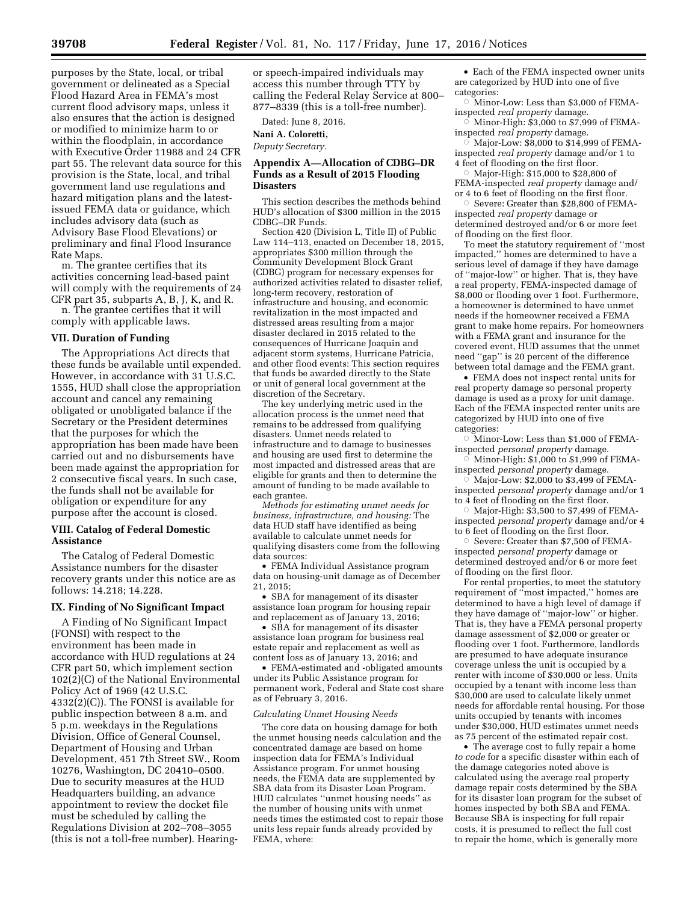purposes by the State, local, or tribal government or delineated as a Special Flood Hazard Area in FEMA's most current flood advisory maps, unless it also ensures that the action is designed or modified to minimize harm to or within the floodplain, in accordance with Executive Order 11988 and 24 CFR part 55. The relevant data source for this provision is the State, local, and tribal government land use regulations and hazard mitigation plans and the latestissued FEMA data or guidance, which includes advisory data (such as Advisory Base Flood Elevations) or preliminary and final Flood Insurance Rate Maps.

m. The grantee certifies that its activities concerning lead-based paint will comply with the requirements of 24 CFR part 35, subparts A, B, J, K, and R.

n. The grantee certifies that it will comply with applicable laws.

#### **VII. Duration of Funding**

The Appropriations Act directs that these funds be available until expended. However, in accordance with 31 U.S.C. 1555, HUD shall close the appropriation account and cancel any remaining obligated or unobligated balance if the Secretary or the President determines that the purposes for which the appropriation has been made have been carried out and no disbursements have been made against the appropriation for 2 consecutive fiscal years. In such case, the funds shall not be available for obligation or expenditure for any purpose after the account is closed.

### **VIII. Catalog of Federal Domestic Assistance**

The Catalog of Federal Domestic Assistance numbers for the disaster recovery grants under this notice are as follows: 14.218; 14.228.

### **IX. Finding of No Significant Impact**

A Finding of No Significant Impact (FONSI) with respect to the environment has been made in accordance with HUD regulations at 24 CFR part 50, which implement section 102(2)(C) of the National Environmental Policy Act of 1969 (42 U.S.C. 4332(2)(C)). The FONSI is available for public inspection between 8 a.m. and 5 p.m. weekdays in the Regulations Division, Office of General Counsel, Department of Housing and Urban Development, 451 7th Street SW., Room 10276, Washington, DC 20410–0500. Due to security measures at the HUD Headquarters building, an advance appointment to review the docket file must be scheduled by calling the Regulations Division at 202–708–3055 (this is not a toll-free number). Hearingor speech-impaired individuals may access this number through TTY by calling the Federal Relay Service at 800– 877–8339 (this is a toll-free number).

Dated: June 8, 2016.

**Nani A. Coloretti,** 

*Deputy Secretary.* 

# **Appendix A—Allocation of CDBG–DR Funds as a Result of 2015 Flooding Disasters**

This section describes the methods behind HUD's allocation of \$300 million in the 2015 CDBG–DR Funds.

Section 420 (Division L, Title II) of Public Law 114–113, enacted on December 18, 2015, appropriates \$300 million through the Community Development Block Grant (CDBG) program for necessary expenses for authorized activities related to disaster relief, long-term recovery, restoration of infrastructure and housing, and economic revitalization in the most impacted and distressed areas resulting from a major disaster declared in 2015 related to the consequences of Hurricane Joaquin and adjacent storm systems, Hurricane Patricia, and other flood events: This section requires that funds be awarded directly to the State or unit of general local government at the discretion of the Secretary.

The key underlying metric used in the allocation process is the unmet need that remains to be addressed from qualifying disasters. Unmet needs related to infrastructure and to damage to businesses and housing are used first to determine the most impacted and distressed areas that are eligible for grants and then to determine the amount of funding to be made available to each grantee.

*Methods for estimating unmet needs for business, infrastructure, and housing:* The data HUD staff have identified as being available to calculate unmet needs for qualifying disasters come from the following data sources:

• FEMA Individual Assistance program data on housing-unit damage as of December 21, 2015;

• SBA for management of its disaster assistance loan program for housing repair and replacement as of January 13, 2016;

• SBA for management of its disaster assistance loan program for business real estate repair and replacement as well as content loss as of January 13, 2016; and

• FEMA-estimated and -obligated amounts under its Public Assistance program for permanent work, Federal and State cost share as of February 3, 2016.

### *Calculating Unmet Housing Needs*

The core data on housing damage for both the unmet housing needs calculation and the concentrated damage are based on home inspection data for FEMA's Individual Assistance program. For unmet housing needs, the FEMA data are supplemented by SBA data from its Disaster Loan Program. HUD calculates ''unmet housing needs'' as the number of housing units with unmet needs times the estimated cost to repair those units less repair funds already provided by FEMA, where:

• Each of the FEMA inspected owner units are categorized by HUD into one of five categories:

 $\circ$  Minor-Low: Less than \$3,000 of FEMAinspected *real property* damage.

 $\overline{\circ}\,$  Minor-High: \$3,000 to \$7,999 of FEMAinspected *real property* damage.

 $\circ$  Major-Low: \$8,000 to \$14,999 of FEMAinspected *real property* damage and/or 1 to 4 feet of flooding on the first floor.

 $\circ$  Major-High: \$15,000 to \$28,800 of FEMA-inspected *real property* damage and/ or 4 to 6 feet of flooding on the first floor.

Æ Severe: Greater than \$28,800 of FEMAinspected *real property* damage or determined destroyed and/or 6 or more feet of flooding on the first floor.

To meet the statutory requirement of ''most impacted,'' homes are determined to have a serious level of damage if they have damage of ''major-low'' or higher. That is, they have a real property, FEMA-inspected damage of \$8,000 or flooding over 1 foot. Furthermore, a homeowner is determined to have unmet needs if the homeowner received a FEMA grant to make home repairs. For homeowners with a FEMA grant and insurance for the covered event, HUD assumes that the unmet need ''gap'' is 20 percent of the difference between total damage and the FEMA grant.

• FEMA does not inspect rental units for real property damage so personal property damage is used as a proxy for unit damage. Each of the FEMA inspected renter units are categorized by HUD into one of five categories:

 $\circ$  Minor-Low: Less than \$1,000 of FEMAinspected *personal property* damage.

 $\overline{\circ}\,$  Minor-High: \$1,000 to \$1,999 of FEMAinspected *personal property* damage.

 $\overline{\circ}$  Major-Low: \$2,000 to \$3,499 of FEMAinspected *personal property* damage and/or 1 to 4 feet of flooding on the first floor.

 $\circ$  Major-High:  $\$3,500$  to  $\$7,499$  of FEMAinspected *personal property* damage and/or 4 to 6 feet of flooding on the first floor.

Æ Severe: Greater than \$7,500 of FEMAinspected *personal property* damage or determined destroyed and/or 6 or more feet of flooding on the first floor.

For rental properties, to meet the statutory requirement of ''most impacted,'' homes are determined to have a high level of damage if they have damage of ''major-low'' or higher. That is, they have a FEMA personal property damage assessment of \$2,000 or greater or flooding over 1 foot. Furthermore, landlords are presumed to have adequate insurance coverage unless the unit is occupied by a renter with income of \$30,000 or less. Units occupied by a tenant with income less than \$30,000 are used to calculate likely unmet needs for affordable rental housing. For those units occupied by tenants with incomes under \$30,000, HUD estimates unmet needs as 75 percent of the estimated repair cost.

• The average cost to fully repair a home *to code* for a specific disaster within each of the damage categories noted above is calculated using the average real property damage repair costs determined by the SBA for its disaster loan program for the subset of homes inspected by both SBA and FEMA. Because SBA is inspecting for full repair costs, it is presumed to reflect the full cost to repair the home, which is generally more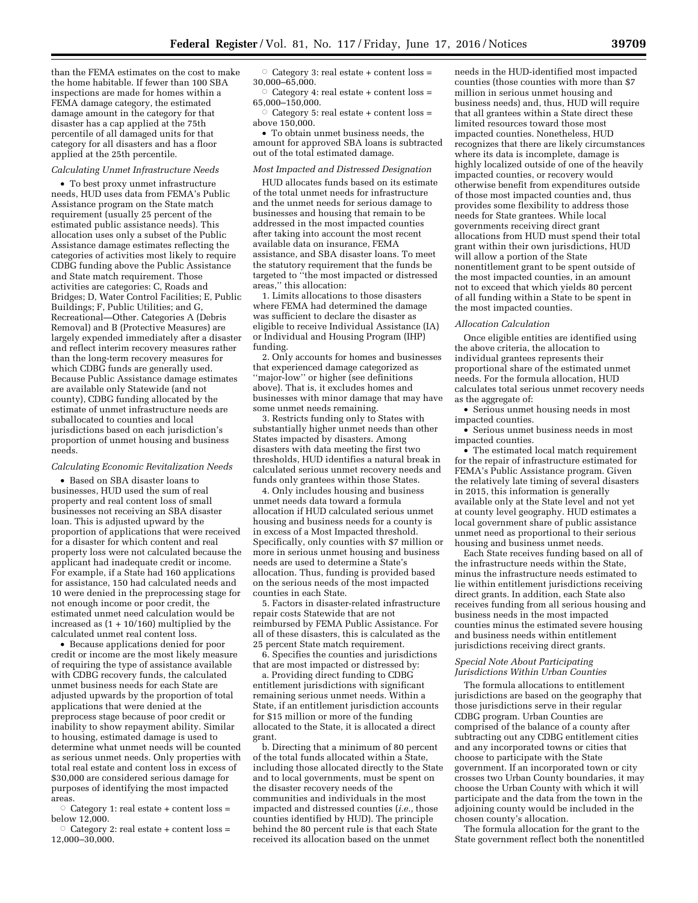than the FEMA estimates on the cost to make the home habitable. If fewer than 100 SBA inspections are made for homes within a FEMA damage category, the estimated damage amount in the category for that disaster has a cap applied at the 75th percentile of all damaged units for that category for all disasters and has a floor applied at the 25th percentile.

#### *Calculating Unmet Infrastructure Needs*

• To best proxy unmet infrastructure needs, HUD uses data from FEMA's Public Assistance program on the State match requirement (usually 25 percent of the estimated public assistance needs). This allocation uses only a subset of the Public Assistance damage estimates reflecting the categories of activities most likely to require CDBG funding above the Public Assistance and State match requirement. Those activities are categories: C, Roads and Bridges; D, Water Control Facilities; E, Public Buildings; F, Public Utilities; and G, Recreational—Other. Categories A (Debris Removal) and B (Protective Measures) are largely expended immediately after a disaster and reflect interim recovery measures rather than the long-term recovery measures for which CDBG funds are generally used. Because Public Assistance damage estimates are available only Statewide (and not county), CDBG funding allocated by the estimate of unmet infrastructure needs are suballocated to counties and local jurisdictions based on each jurisdiction's proportion of unmet housing and business needs.

# *Calculating Economic Revitalization Needs*

• Based on SBA disaster loans to businesses, HUD used the sum of real property and real content loss of small businesses not receiving an SBA disaster loan. This is adjusted upward by the proportion of applications that were received for a disaster for which content and real property loss were not calculated because the applicant had inadequate credit or income. For example, if a State had 160 applications for assistance, 150 had calculated needs and 10 were denied in the preprocessing stage for not enough income or poor credit, the estimated unmet need calculation would be increased as  $(1 + 10/160)$  multiplied by the calculated unmet real content loss.

• Because applications denied for poor credit or income are the most likely measure of requiring the type of assistance available with CDBG recovery funds, the calculated unmet business needs for each State are adjusted upwards by the proportion of total applications that were denied at the preprocess stage because of poor credit or inability to show repayment ability. Similar to housing, estimated damage is used to determine what unmet needs will be counted as serious unmet needs. Only properties with total real estate and content loss in excess of \$30,000 are considered serious damage for purposes of identifying the most impacted areas.

 $\circ$  Category 1: real estate + content loss = below 12,000.

Category 2: real estate + content  $loss =$ 12,000–30,000.

 $\circ$  Category 3: real estate + content loss = 30,000–65,000.

Category 4: real estate + content  $loss =$ 65,000–150,000.

Category 5: real estate + content  $loss =$ above 150,000.

• To obtain unmet business needs, the amount for approved SBA loans is subtracted out of the total estimated damage.

### *Most Impacted and Distressed Designation*

HUD allocates funds based on its estimate of the total unmet needs for infrastructure and the unmet needs for serious damage to businesses and housing that remain to be addressed in the most impacted counties after taking into account the most recent available data on insurance, FEMA assistance, and SBA disaster loans. To meet the statutory requirement that the funds be targeted to ''the most impacted or distressed areas,'' this allocation:

1. Limits allocations to those disasters where FEMA had determined the damage was sufficient to declare the disaster as eligible to receive Individual Assistance (IA) or Individual and Housing Program (IHP) funding.

2. Only accounts for homes and businesses that experienced damage categorized as ''major-low'' or higher (see definitions above). That is, it excludes homes and businesses with minor damage that may have some unmet needs remaining.

3. Restricts funding only to States with substantially higher unmet needs than other States impacted by disasters. Among disasters with data meeting the first two thresholds, HUD identifies a natural break in calculated serious unmet recovery needs and funds only grantees within those States.

4. Only includes housing and business unmet needs data toward a formula allocation if HUD calculated serious unmet housing and business needs for a county is in excess of a Most Impacted threshold. Specifically, only counties with \$7 million or more in serious unmet housing and business needs are used to determine a State's allocation. Thus, funding is provided based on the serious needs of the most impacted counties in each State.

5. Factors in disaster-related infrastructure repair costs Statewide that are not reimbursed by FEMA Public Assistance. For all of these disasters, this is calculated as the 25 percent State match requirement.

6. Specifies the counties and jurisdictions that are most impacted or distressed by:

a. Providing direct funding to CDBG entitlement jurisdictions with significant remaining serious unmet needs. Within a State, if an entitlement jurisdiction accounts for \$15 million or more of the funding allocated to the State, it is allocated a direct grant.

b. Directing that a minimum of 80 percent of the total funds allocated within a State, including those allocated directly to the State and to local governments, must be spent on the disaster recovery needs of the communities and individuals in the most impacted and distressed counties (*i.e.,* those counties identified by HUD). The principle behind the 80 percent rule is that each State received its allocation based on the unmet

needs in the HUD-identified most impacted counties (those counties with more than \$7 million in serious unmet housing and business needs) and, thus, HUD will require that all grantees within a State direct these limited resources toward those most impacted counties. Nonetheless, HUD recognizes that there are likely circumstances where its data is incomplete, damage is highly localized outside of one of the heavily impacted counties, or recovery would otherwise benefit from expenditures outside of those most impacted counties and, thus provides some flexibility to address those needs for State grantees. While local governments receiving direct grant allocations from HUD must spend their total grant within their own jurisdictions, HUD will allow a portion of the State nonentitlement grant to be spent outside of the most impacted counties, in an amount not to exceed that which yields 80 percent of all funding within a State to be spent in the most impacted counties.

### *Allocation Calculation*

Once eligible entities are identified using the above criteria, the allocation to individual grantees represents their proportional share of the estimated unmet needs. For the formula allocation, HUD calculates total serious unmet recovery needs as the aggregate of:

• Serious unmet housing needs in most impacted counties.

• Serious unmet business needs in most impacted counties.

• The estimated local match requirement for the repair of infrastructure estimated for FEMA's Public Assistance program. Given the relatively late timing of several disasters in 2015, this information is generally available only at the State level and not yet at county level geography. HUD estimates a local government share of public assistance unmet need as proportional to their serious housing and business unmet needs.

Each State receives funding based on all of the infrastructure needs within the State, minus the infrastructure needs estimated to lie within entitlement jurisdictions receiving direct grants. In addition, each State also receives funding from all serious housing and business needs in the most impacted counties minus the estimated severe housing and business needs within entitlement jurisdictions receiving direct grants.

### *Special Note About Participating Jurisdictions Within Urban Counties*

The formula allocations to entitlement jurisdictions are based on the geography that those jurisdictions serve in their regular CDBG program. Urban Counties are comprised of the balance of a county after subtracting out any CDBG entitlement cities and any incorporated towns or cities that choose to participate with the State government. If an incorporated town or city crosses two Urban County boundaries, it may choose the Urban County with which it will participate and the data from the town in the adjoining county would be included in the chosen county's allocation.

The formula allocation for the grant to the State government reflect both the nonentitled